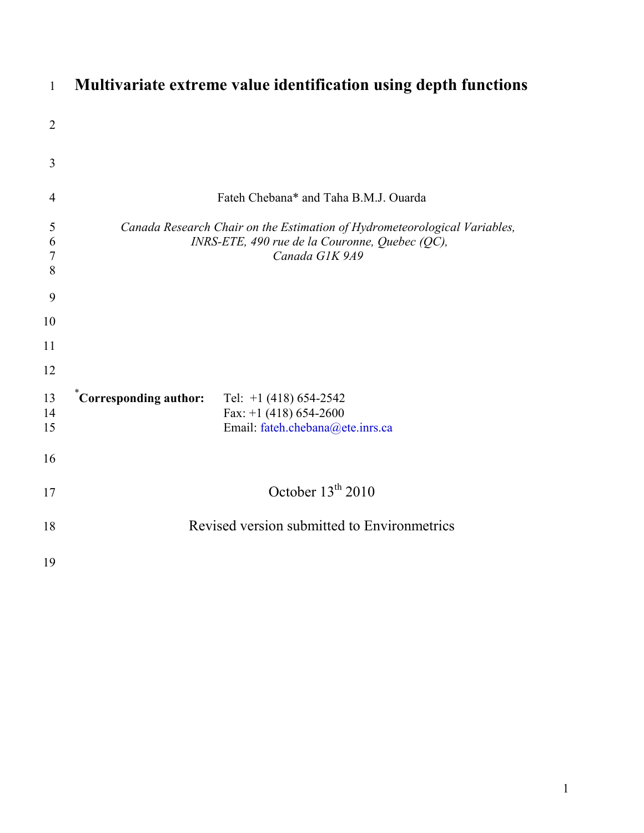| $\mathbf{1}$                    | Multivariate extreme value identification using depth functions                                                                               |
|---------------------------------|-----------------------------------------------------------------------------------------------------------------------------------------------|
| $\overline{2}$                  |                                                                                                                                               |
| 3                               |                                                                                                                                               |
| $\overline{4}$                  | Fateh Chebana* and Taha B.M.J. Ouarda                                                                                                         |
| 5<br>6<br>$\boldsymbol{7}$<br>8 | Canada Research Chair on the Estimation of Hydrometeorological Variables,<br>INRS-ETE, 490 rue de la Couronne, Quebec (QC),<br>Canada G1K 9A9 |
| 9                               |                                                                                                                                               |
| 10                              |                                                                                                                                               |
| 11                              |                                                                                                                                               |
| 12                              |                                                                                                                                               |
| 13<br>14<br>15                  | $\tilde{C}$ Orresponding author:<br>Tel: $+1$ (418) 654-2542<br>Fax: +1 (418) 654-2600<br>Email: fateh.chebana@ete.inrs.ca                    |
| 16                              |                                                                                                                                               |
| 17                              | October $13^{th}$ 2010                                                                                                                        |
| 18                              | Revised version submitted to Environmetrics                                                                                                   |
| 19                              |                                                                                                                                               |

# **Multivariate extreme value identification using depth functions**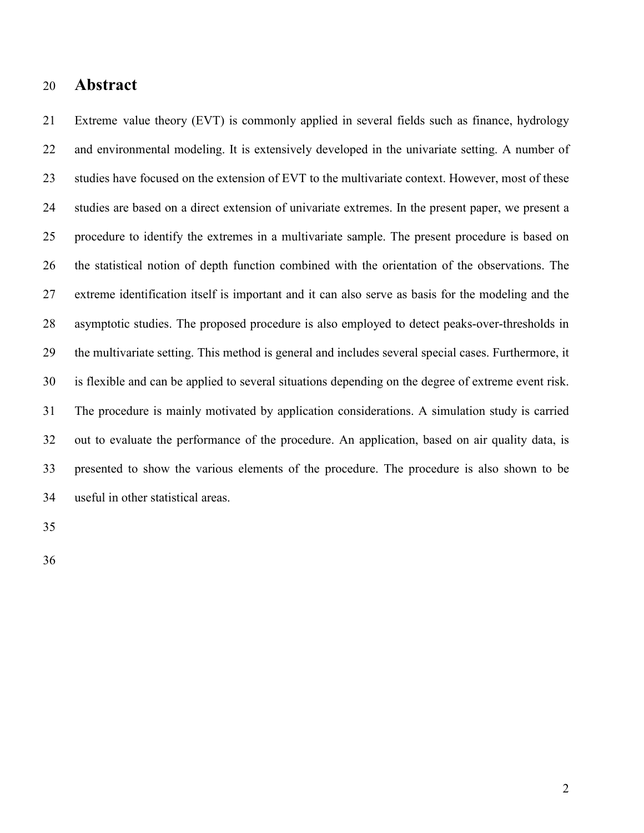# 20 **Abstract**

21 Extreme value theory (EVT) is commonly applied in several fields such as finance, hydrology 22 and environmental modeling. It is extensively developed in the univariate setting. A number of 23 studies have focused on the extension of EVT to the multivariate context. However, most of these 24 studies are based on a direct extension of univariate extremes. In the present paper, we present a 25 procedure to identify the extremes in a multivariate sample. The present procedure is based on 26 the statistical notion of depth function combined with the orientation of the observations. The 27 extreme identification itself is important and it can also serve as basis for the modeling and the 28 asymptotic studies. The proposed procedure is also employed to detect peaks-over-thresholds in 29 the multivariate setting. This method is general and includes several special cases. Furthermore, it 30 is flexible and can be applied to several situations depending on the degree of extreme event risk. 31 The procedure is mainly motivated by application considerations. A simulation study is carried 32 out to evaluate the performance of the procedure. An application, based on air quality data, is 33 presented to show the various elements of the procedure. The procedure is also shown to be 34 useful in other statistical areas.

35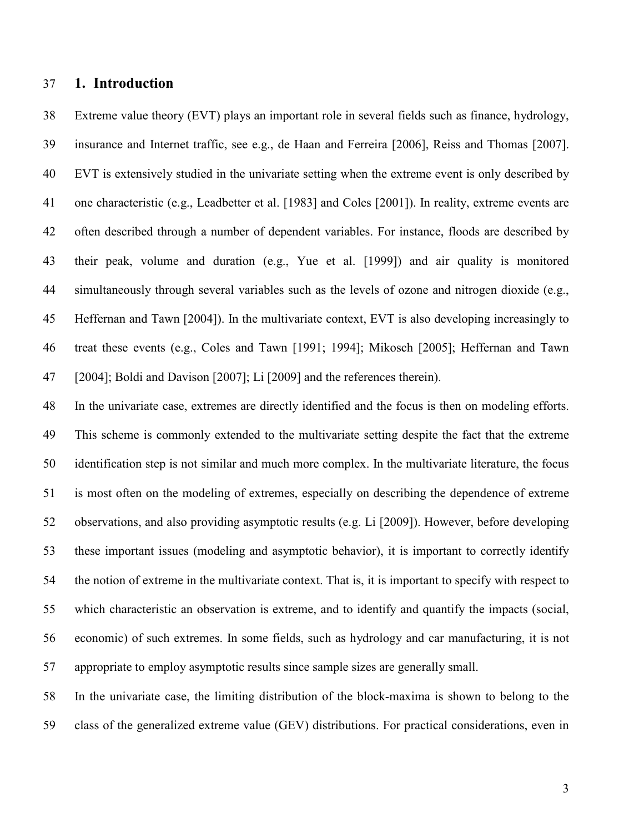# 37 **1. Introduction**

38 Extreme value theory (EVT) plays an important role in several fields such as finance, hydrology, 39 insurance and Internet traffic, see e.g., de Haan and Ferreira [2006], Reiss and Thomas [2007]. 40 EVT is extensively studied in the univariate setting when the extreme event is only described by 41 one characteristic (e.g., Leadbetter et al. [1983] and Coles [2001]). In reality, extreme events are 42 often described through a number of dependent variables. For instance, floods are described by 43 their peak, volume and duration (e.g., Yue et al. [1999]) and air quality is monitored 44 simultaneously through several variables such as the levels of ozone and nitrogen dioxide (e.g., 45 Heffernan and Tawn [2004]). In the multivariate context, EVT is also developing increasingly to 46 treat these events (e.g., Coles and Tawn [1991; 1994]; Mikosch [2005]; Heffernan and Tawn 47 [2004]; Boldi and Davison [2007]; Li [2009] and the references therein).

48 In the univariate case, extremes are directly identified and the focus is then on modeling efforts. 49 This scheme is commonly extended to the multivariate setting despite the fact that the extreme 50 identification step is not similar and much more complex. In the multivariate literature, the focus 51 is most often on the modeling of extremes, especially on describing the dependence of extreme 52 observations, and also providing asymptotic results (e.g. Li [2009]). However, before developing 53 these important issues (modeling and asymptotic behavior), it is important to correctly identify 54 the notion of extreme in the multivariate context. That is, it is important to specify with respect to 55 which characteristic an observation is extreme, and to identify and quantify the impacts (social, 56 economic) of such extremes. In some fields, such as hydrology and car manufacturing, it is not 57 appropriate to employ asymptotic results since sample sizes are generally small.

58 In the univariate case, the limiting distribution of the block-maxima is shown to belong to the 59 class of the generalized extreme value (GEV) distributions. For practical considerations, even in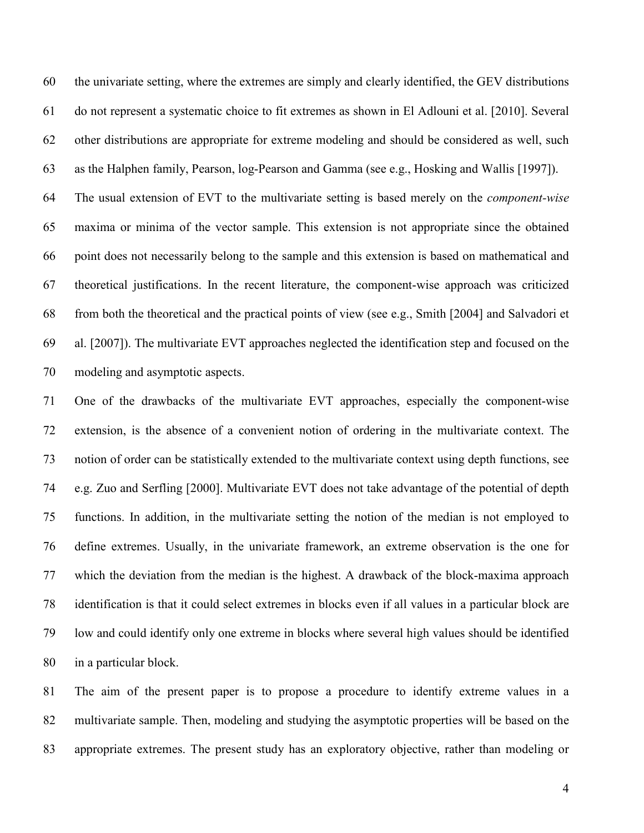60 the univariate setting, where the extremes are simply and clearly identified, the GEV distributions 61 do not represent a systematic choice to fit extremes as shown in El Adlouni et al. [2010]. Several 62 other distributions are appropriate for extreme modeling and should be considered as well, such 63 as the Halphen family, Pearson, log-Pearson and Gamma (see e.g., Hosking and Wallis [1997]).

64 The usual extension of EVT to the multivariate setting is based merely on the *component-wise* 65 maxima or minima of the vector sample. This extension is not appropriate since the obtained 66 point does not necessarily belong to the sample and this extension is based on mathematical and 67 theoretical justifications. In the recent literature, the component-wise approach was criticized 68 from both the theoretical and the practical points of view (see e.g., Smith [2004] and Salvadori et 69 al. [2007]). The multivariate EVT approaches neglected the identification step and focused on the 70 modeling and asymptotic aspects.

71 One of the drawbacks of the multivariate EVT approaches, especially the component-wise 72 extension, is the absence of a convenient notion of ordering in the multivariate context. The 73 notion of order can be statistically extended to the multivariate context using depth functions, see 74 e.g. Zuo and Serfling [2000]. Multivariate EVT does not take advantage of the potential of depth 75 functions. In addition, in the multivariate setting the notion of the median is not employed to 76 define extremes. Usually, in the univariate framework, an extreme observation is the one for 77 which the deviation from the median is the highest. A drawback of the block-maxima approach 78 identification is that it could select extremes in blocks even if all values in a particular block are 79 low and could identify only one extreme in blocks where several high values should be identified 80 in a particular block.

81 The aim of the present paper is to propose a procedure to identify extreme values in a 82 multivariate sample. Then, modeling and studying the asymptotic properties will be based on the 83 appropriate extremes. The present study has an exploratory objective, rather than modeling or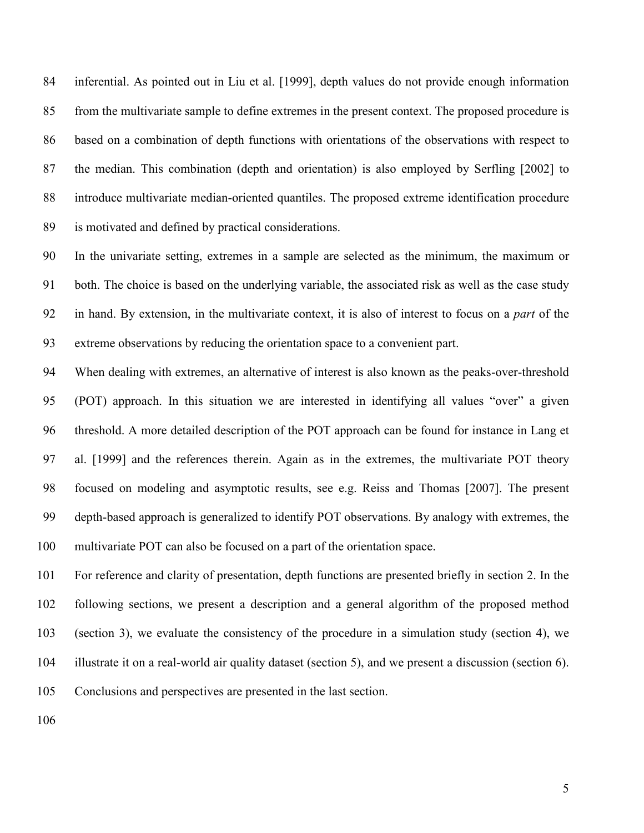84 inferential. As pointed out in Liu et al. [1999], depth values do not provide enough information 85 from the multivariate sample to define extremes in the present context. The proposed procedure is 86 based on a combination of depth functions with orientations of the observations with respect to 87 the median. This combination (depth and orientation) is also employed by Serfling [2002] to 88 introduce multivariate median-oriented quantiles. The proposed extreme identification procedure 89 is motivated and defined by practical considerations.

90 In the univariate setting, extremes in a sample are selected as the minimum, the maximum or 91 both. The choice is based on the underlying variable, the associated risk as well as the case study 92 in hand. By extension, in the multivariate context, it is also of interest to focus on a *part* of the 93 extreme observations by reducing the orientation space to a convenient part.

94 When dealing with extremes, an alternative of interest is also known as the peaks-over-threshold 95 (POT) approach. In this situation we are interested in identifying all values "over" a given 96 threshold. A more detailed description of the POT approach can be found for instance in Lang et 97 al. [1999] and the references therein. Again as in the extremes, the multivariate POT theory 98 focused on modeling and asymptotic results, see e.g. Reiss and Thomas [2007]. The present 99 depth-based approach is generalized to identify POT observations. By analogy with extremes, the 100 multivariate POT can also be focused on a part of the orientation space.

101 For reference and clarity of presentation, depth functions are presented briefly in section 2. In the 102 following sections, we present a description and a general algorithm of the proposed method 103 (section 3), we evaluate the consistency of the procedure in a simulation study (section 4), we 104 illustrate it on a real-world air quality dataset (section 5), and we present a discussion (section 6). 105 Conclusions and perspectives are presented in the last section.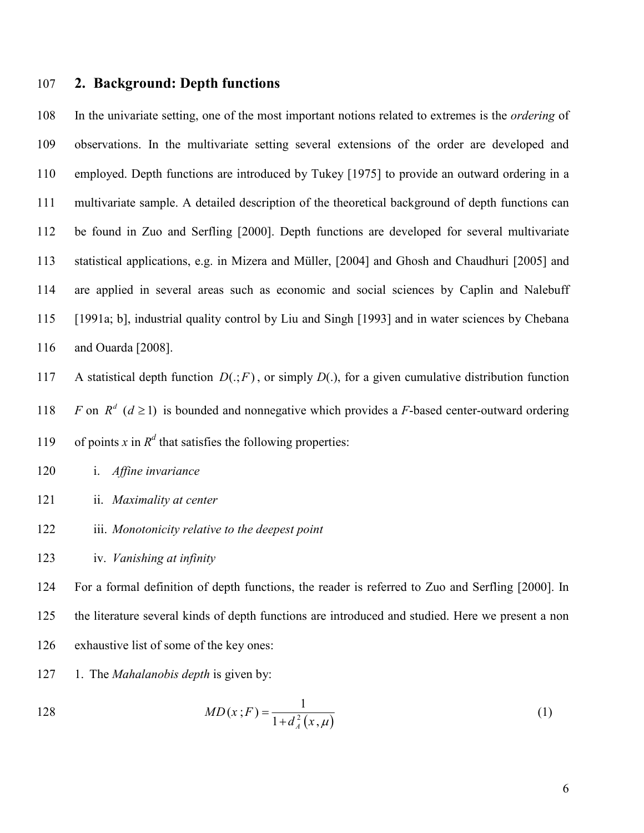# 107 **2. Background: Depth functions**

108 In the univariate setting, one of the most important notions related to extremes is the *ordering* of 109 observations. In the multivariate setting several extensions of the order are developed and 110 employed. Depth functions are introduced by Tukey [1975] to provide an outward ordering in a 111 multivariate sample. A detailed description of the theoretical background of depth functions can 112 be found in Zuo and Serfling [2000]. Depth functions are developed for several multivariate 113 statistical applications, e.g. in Mizera and Müller, [2004] and Ghosh and Chaudhuri [2005] and 114 are applied in several areas such as economic and social sciences by Caplin and Nalebuff 115 [1991a; b], industrial quality control by Liu and Singh [1993] and in water sciences by Chebana 116 and Ouarda [2008].

117 A statistical depth function  $D(.; F)$ , or simply  $D(.)$ , for a given cumulative distribution function

118 *F* on  $R^d$  ( $d \ge 1$ ) is bounded and nonnegative which provides a *F*-based center-outward ordering

119 of points *x* in  $R^d$  that satisfies the following properties:

120 i. *Affine invariance*

- 121 ii. *Maximality at center*
- 122 iii. *Monotonicity relative to the deepest point*
- 123 iv. *Vanishing at infinity*

124 For a formal definition of depth functions, the reader is referred to Zuo and Serfling [2000]. In 125 the literature several kinds of depth functions are introduced and studied. Here we present a non 126 exhaustive list of some of the key ones:

127 1. The *Mahalanobis depth* is given by:

128 
$$
MD(x;F) = \frac{1}{1 + d_A^2(x,\mu)}
$$
 (1)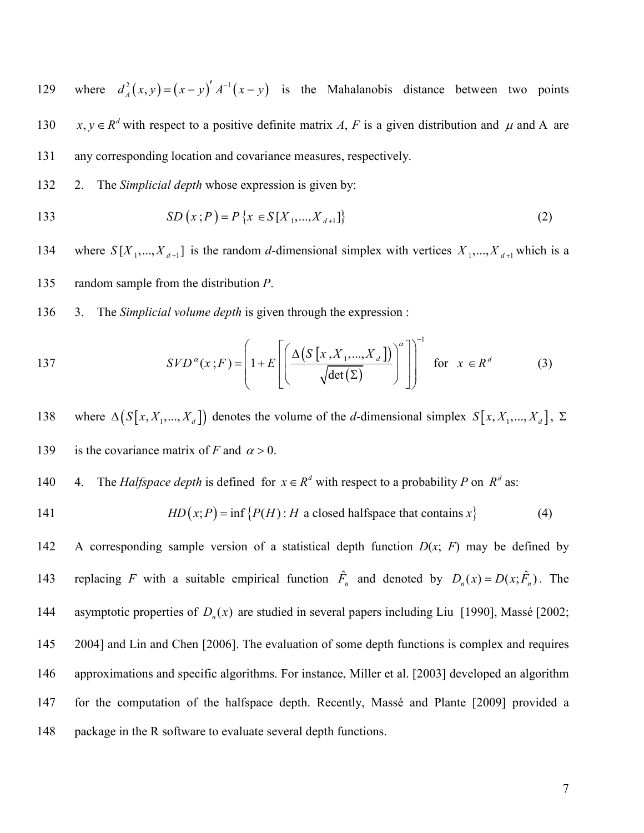129 where  $d_A^2(x, y) = (x - y)' A^{-1}(x - y)$  is the Mahalanobis distance between two points 130  $x, y \in R^d$  with respect to a positive definite matrix *A*, *F* is a given distribution and  $\mu$  and A are 131 any corresponding location and covariance measures, respectively.

132 2. The *Simplicial depth* whose expression is given by:

133 
$$
SD(x;P) = P\{x \in S[X_1,...,X_{d+1}]\}
$$
 (2)

134 where  $S[X_1, ..., X_{d+1}]$  is the random *d*-dimensional simplex with vertices  $X_1, ..., X_{d+1}$  which is a 135 random sample from the distribution *P*.

136 3. The *Simplicial volume depth* is given through the expression :

137 
$$
SVD^{\alpha}(x;F) = \left(1 + E\left[\left(\frac{\Delta\left(S\left[x,X_1,...,X_d\right]\right)}{\sqrt{\det(\Sigma)}}\right)^{\alpha}\right]\right)^{-1} \text{ for } x \in R^d \quad (3)
$$

138 where  $\Delta(S[x, X_1, ..., X_d])$  denotes the volume of the *d*-dimensional simplex  $S[x, X_1, ..., X_d]$ ,  $\Sigma$ 139 is the covariance matrix of *F* and  $\alpha > 0$ .

- 140 4. The *Halfspace depth* is defined for  $x \in R^d$  with respect to a probability *P* on  $R^d$  as:
- 

141 
$$
HD(x;P) = \inf \{P(H) : H \text{ a closed halfspace that contains } x\}
$$
 (4)

142 A corresponding sample version of a statistical depth function *D*(*x*; *F*) may be defined by 143 replacing *F* with a suitable empirical function  $\hat{F}_n$  and denoted by  $D_n(x) = D(x; \hat{F}_n)$ . The 144 asymptotic properties of  $D_n(x)$  are studied in several papers including Liu [1990], Massé [2002; 145 2004] and Lin and Chen [2006]. The evaluation of some depth functions is complex and requires 146 approximations and specific algorithms. For instance, Miller et al. [2003] developed an algorithm 147 for the computation of the halfspace depth. Recently, Massé and Plante [2009] provided a 148 package in the R software to evaluate several depth functions.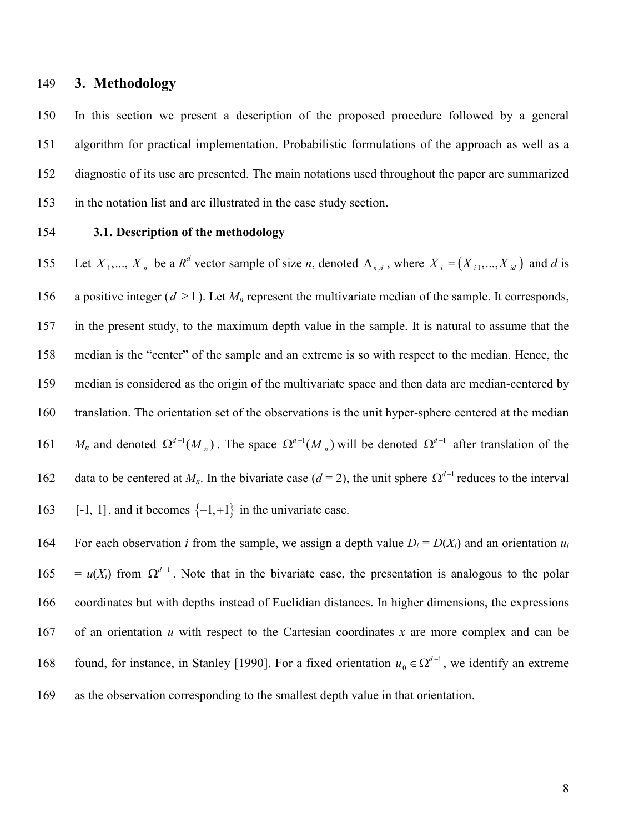# 149 **3. Methodology**

150 In this section we present a description of the proposed procedure followed by a general 151 algorithm for practical implementation. Probabilistic formulations of the approach as well as a 152 diagnostic of its use are presented. The main notations used throughout the paper are summarized 153 in the notation list and are illustrated in the case study section.

### 154 **3.1. Description of the methodology**

155 Let  $X_1, ..., X_n$  be a  $R^d$  vector sample of size *n*, denoted  $\Lambda_{n,d}$ , where  $X_i = (X_{i1},...,X_{id})$  and *d* is 156 a positive integer ( $d \ge 1$ ). Let  $M_n$  represent the multivariate median of the sample. It corresponds, 157 in the present study, to the maximum depth value in the sample. It is natural to assume that the 158 median is the "center" of the sample and an extreme is so with respect to the median. Hence, the 159 median is considered as the origin of the multivariate space and then data are median-centered by 160 translation. The orientation set of the observations is the unit hyper-sphere centered at the median 161 *M<sub>n</sub>* and denoted  $\Omega^{d-1}(M_n)$ . The space  $\Omega^{d-1}(M_n)$  will be denoted  $\Omega^{d-1}$  after translation of the data to be centered at  $M_n$ . In the bivariate case ( $d = 2$ ), the unit sphere  $\Omega^{d-1}$  reduces to the interval 163 [-1, 1], and it becomes  $\{-1, +1\}$  in the univariate case.

For each observation *i* from the sample, we assign a depth value  $D_i = D(X_i)$  and an orientation  $u_i$  $165 = u(X_i)$  from  $\Omega^{d-1}$ . Note that in the bivariate case, the presentation is analogous to the polar 166 coordinates but with depths instead of Euclidian distances. In higher dimensions, the expressions 167 of an orientation *u* with respect to the Cartesian coordinates *x* are more complex and can be found, for instance, in Stanley [1990]. For a fixed orientation  $u_0 \in \Omega^{d-1}$ 168 found, for instance, in Stanley [1990]. For a fixed orientation  $u_0 \in \Omega^{d-1}$ , we identify an extreme 169 as the observation corresponding to the smallest depth value in that orientation.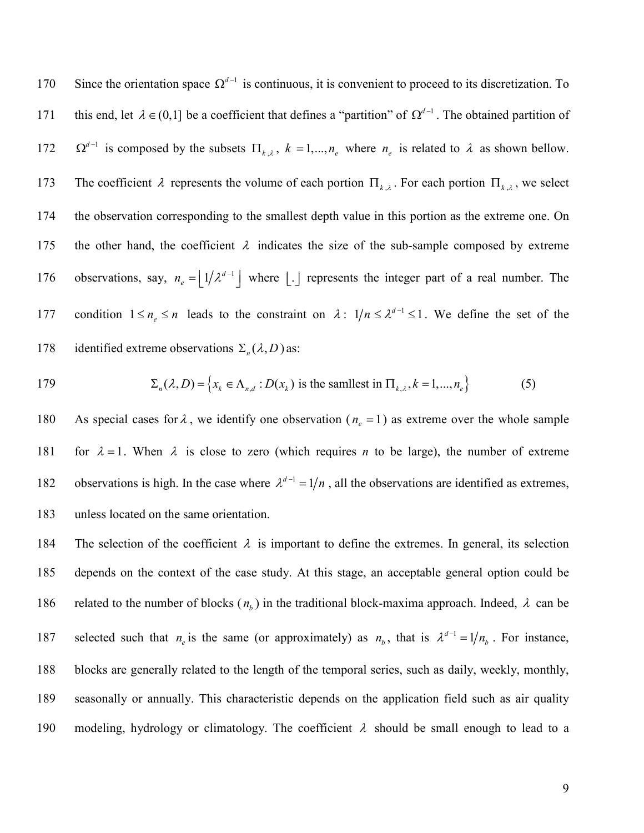170 Since the orientation space  $\Omega^{d-1}$  is continuous, it is convenient to proceed to its discretization. To this end, let  $\lambda$  ∈ (0,1] be a coefficient that defines a "partition" of  $\Omega^{d-1}$ . The obtained partition of 172  $\Omega^{d-1}$  is composed by the subsets  $\Pi_{k,\lambda}$ ,  $k = 1,...,n_e$  where  $n_e$  is related to  $\lambda$  as shown bellow. 173 The coefficient  $\lambda$  represents the volume of each portion  $\Pi_{k,\lambda}$ . For each portion  $\Pi_{k,\lambda}$ , we select 174 the observation corresponding to the smallest depth value in this portion as the extreme one. On 175 the other hand, the coefficient  $\lambda$  indicates the size of the sub-sample composed by extreme observations, say,  $n_e = |1/\lambda^{d-1}|$ 176 observations, say,  $n_e = \lfloor 1/\lambda^{d-1} \rfloor$  where  $\lfloor . \rfloor$  represents the integer part of a real number. The 177 condition  $1 \le n_e \le n$  leads to the constraint on  $\lambda$ :  $1/n \le \lambda^{d-1} \le 1$ . We define the set of the identified extreme observations  $\Sigma_n(\lambda, D)$  as:

179 
$$
\Sigma_n(\lambda, D) = \left\{ x_k \in \Lambda_{n,d} : D(x_k) \text{ is the smallest in } \Pi_{k,\lambda}, k = 1, ..., n_e \right\}
$$
 (5)

180 As special cases for  $\lambda$ , we identify one observation ( $n_e = 1$ ) as extreme over the whole sample 181 for  $\lambda = 1$ . When  $\lambda$  is close to zero (which requires *n* to be large), the number of extreme 182 observations is high. In the case where  $\lambda^{d-1} = 1/n$ , all the observations are identified as extremes, 183 unless located on the same orientation.

184 The selection of the coefficient  $\lambda$  is important to define the extremes. In general, its selection 185 depends on the context of the case study. At this stage, an acceptable general option could be 186 related to the number of blocks  $(n_b)$  in the traditional block-maxima approach. Indeed,  $\lambda$  can be 187 selected such that  $n_e$  is the same (or approximately) as  $n_b$ , that is  $\lambda^{d-1} = 1/n_b$ . For instance, 188 blocks are generally related to the length of the temporal series, such as daily, weekly, monthly, 189 seasonally or annually. This characteristic depends on the application field such as air quality 190 modeling, hydrology or climatology. The coefficient  $\lambda$  should be small enough to lead to a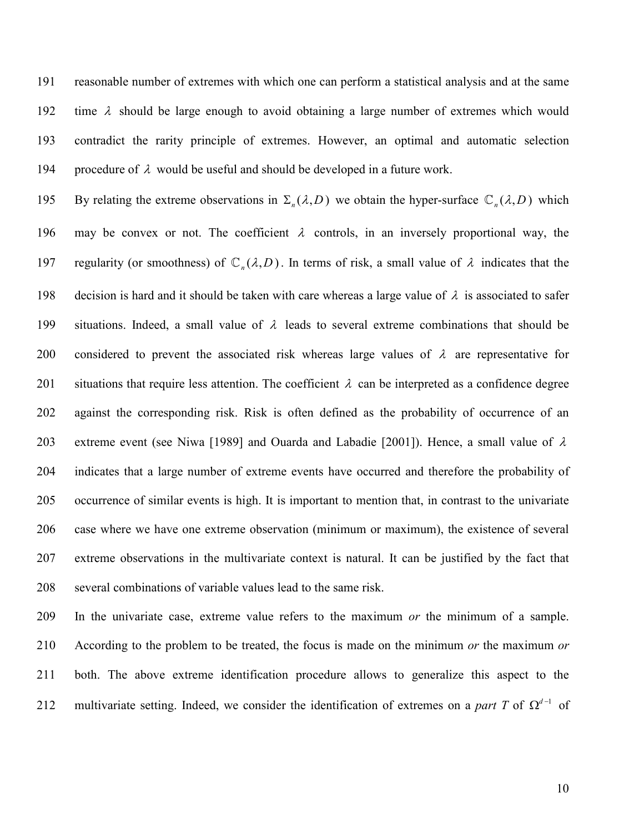191 reasonable number of extremes with which one can perform a statistical analysis and at the same 192 time  $\lambda$  should be large enough to avoid obtaining a large number of extremes which would 193 contradict the rarity principle of extremes. However, an optimal and automatic selection 194 procedure of  $\lambda$  would be useful and should be developed in a future work.

By relating the extreme observations in  $\Sigma_n(\lambda, D)$  we obtain the hyper-surface  $\mathbb{C}_n(\lambda, D)$  which 196 may be convex or not. The coefficient  $\lambda$  controls, in an inversely proportional way, the regularity (or smoothness) of  $\mathbb{C}_n(\lambda, D)$ . In terms of risk, a small value of  $\lambda$  indicates that the 198 decision is hard and it should be taken with care whereas a large value of  $\lambda$  is associated to safer 199 situations. Indeed, a small value of  $\lambda$  leads to several extreme combinations that should be 200 considered to prevent the associated risk whereas large values of  $\lambda$  are representative for 201 situations that require less attention. The coefficient  $\lambda$  can be interpreted as a confidence degree 202 against the corresponding risk. Risk is often defined as the probability of occurrence of an 203 extreme event (see Niwa [1989] and Ouarda and Labadie [2001]). Hence, a small value of  $\lambda$ 204 indicates that a large number of extreme events have occurred and therefore the probability of 205 occurrence of similar events is high. It is important to mention that, in contrast to the univariate 206 case where we have one extreme observation (minimum or maximum), the existence of several 207 extreme observations in the multivariate context is natural. It can be justified by the fact that 208 several combinations of variable values lead to the same risk.

209 In the univariate case, extreme value refers to the maximum *or* the minimum of a sample. 210 According to the problem to be treated, the focus is made on the minimum *or* the maximum *or*  211 both. The above extreme identification procedure allows to generalize this aspect to the 212 multivariate setting. Indeed, we consider the identification of extremes on a *part T* of  $\Omega^{d-1}$  of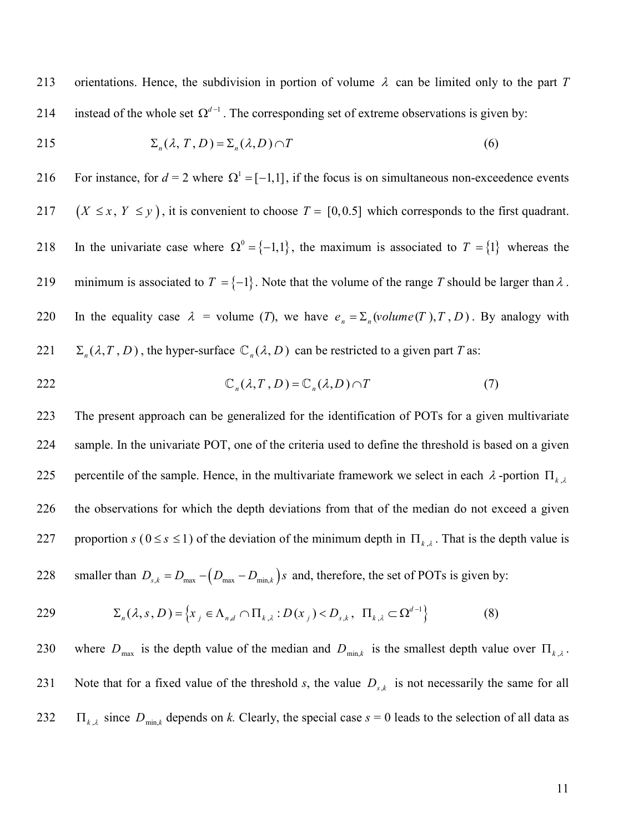213 orientations. Hence, the subdivision in portion of volume  $\lambda$  can be limited only to the part *T* 214 instead of the whole set  $\Omega^{d-1}$ . The corresponding set of extreme observations is given by:

215 
$$
\Sigma_n(\lambda, T, D) = \Sigma_n(\lambda, D) \cap T
$$
 (6)

216 For instance, for  $d = 2$  where  $\Omega^1 = [-1,1]$ , if the focus is on simultaneous non-exceedence events 217  $(X \le x, Y \le y)$ , it is convenient to choose  $T = [0, 0.5]$  which corresponds to the first quadrant. 218 In the univariate case where  $\Omega^0 = \{-1,1\}$ , the maximum is associated to  $T = \{1\}$  whereas the 219 minimum is associated to  $T = \{-1\}$ . Note that the volume of the range *T* should be larger than  $\lambda$ . 220 In the equality case  $\lambda$  = volume (*T*), we have  $e_n = \sum_n (volume(T), T, D)$ . By analogy with  $\sum_{n} (\lambda, T, D)$ , the hyper-surface  $\mathbb{C}_n(\lambda, D)$  can be restricted to a given part *T* as:

$$
\mathbb{C}_n(\lambda, T, D) = \mathbb{C}_n(\lambda, D) \cap T \tag{7}
$$

223 The present approach can be generalized for the identification of POTs for a given multivariate 224 sample. In the univariate POT, one of the criteria used to define the threshold is based on a given percentile of the sample. Hence, in the multivariate framework we select in each  $\lambda$ -portion  $\Pi_{k,\lambda}$ 225 226 the observations for which the depth deviations from that of the median do not exceed a given 227 proportion  $s$  ( $0 \le s \le 1$ ) of the deviation of the minimum depth in  $\Pi_{k,\lambda}$ . That is the depth value is

228 smaller than  $D_{s,k} = D_{\text{max}} - (D_{\text{max}} - D_{\text{min},k})s$  and, therefore, the set of POTs is given by:

229 
$$
\Sigma_n(\lambda, s, D) = \left\{ x_j \in \Lambda_{n,d} \cap \Pi_{k,\lambda} : D(x_j) < D_{s,k}, \Pi_{k,\lambda} \subset \Omega^{d-1} \right\} \tag{8}
$$

230 where  $D_{\text{max}}$  is the depth value of the median and  $D_{\text{min},k}$  is the smallest depth value over  $\Pi_{k,\lambda}$ . 231 Note that for a fixed value of the threshold *s*, the value  $D_{s,k}$  is not necessarily the same for all 232  $\Pi_{k,\lambda}$  since  $D_{\min,k}$  depends on *k*. Clearly, the special case  $s = 0$  leads to the selection of all data as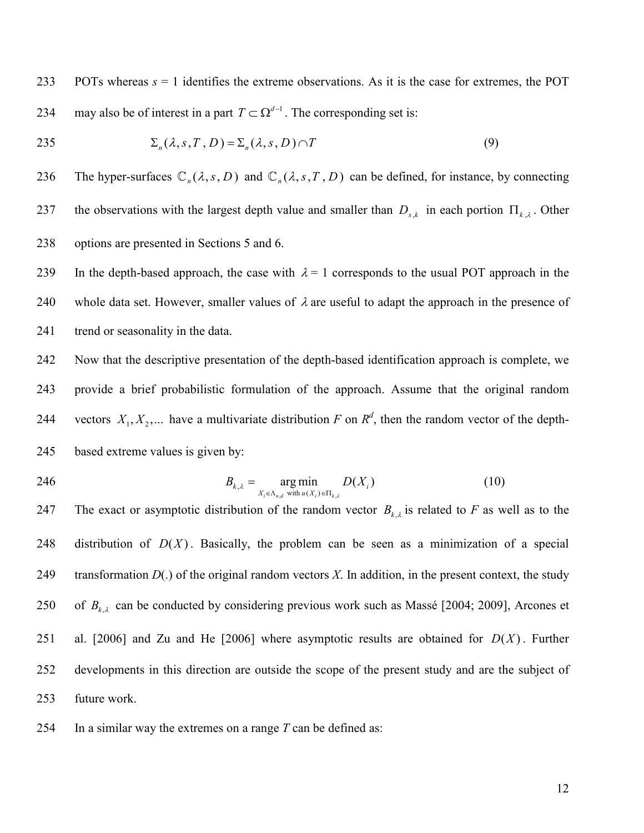233 POTs whereas *s* = 1 identifies the extreme observations. As it is the case for extremes, the POT 234 may also be of interest in a part  $T \subset \Omega^{d-1}$ . The corresponding set is:

$$
\Sigma_n(\lambda, s, T, D) = \Sigma_n(\lambda, s, D) \cap T \tag{9}
$$

236 The hyper-surfaces  $\mathbb{C}_n(\lambda, s, D)$  and  $\mathbb{C}_n(\lambda, s, T, D)$  can be defined, for instance, by connecting 237 the observations with the largest depth value and smaller than  $D_{s,k}$  in each portion  $\Pi_{k,\lambda}$ . Other 238 options are presented in Sections 5 and 6.

239 In the depth-based approach, the case with  $\lambda = 1$  corresponds to the usual POT approach in the 240 whole data set. However, smaller values of  $\lambda$  are useful to adapt the approach in the presence of 241 trend or seasonality in the data.

242 Now that the descriptive presentation of the depth-based identification approach is complete, we 243 provide a brief probabilistic formulation of the approach. Assume that the original random 244 vectors  $X_1, X_2, ...$  have a multivariate distribution *F* on  $\mathbb{R}^d$ , then the random vector of the depth-245 based extreme values is given by:

$$
B_{k,\lambda} = \underset{X_i \in \Lambda_{n,d} \text{ with } u(X_i) \in \Pi_{k,\lambda}}{\arg \min} D(X_i)
$$
(10)

247 The exact or asymptotic distribution of the random vector  $B_{k,\lambda}$  is related to *F* as well as to the 248 distribution of  $D(X)$ . Basically, the problem can be seen as a minimization of a special 249 transformation  $D(.)$  of the original random vectors X. In addition, in the present context, the study 250 of  $B_{k,\lambda}$  can be conducted by considering previous work such as Massé [2004; 2009], Arcones et 251 al. [2006] and Zu and He  $[2006]$  where asymptotic results are obtained for  $D(X)$ . Further 252 developments in this direction are outside the scope of the present study and are the subject of 253 future work.

254 In a similar way the extremes on a range *T* can be defined as: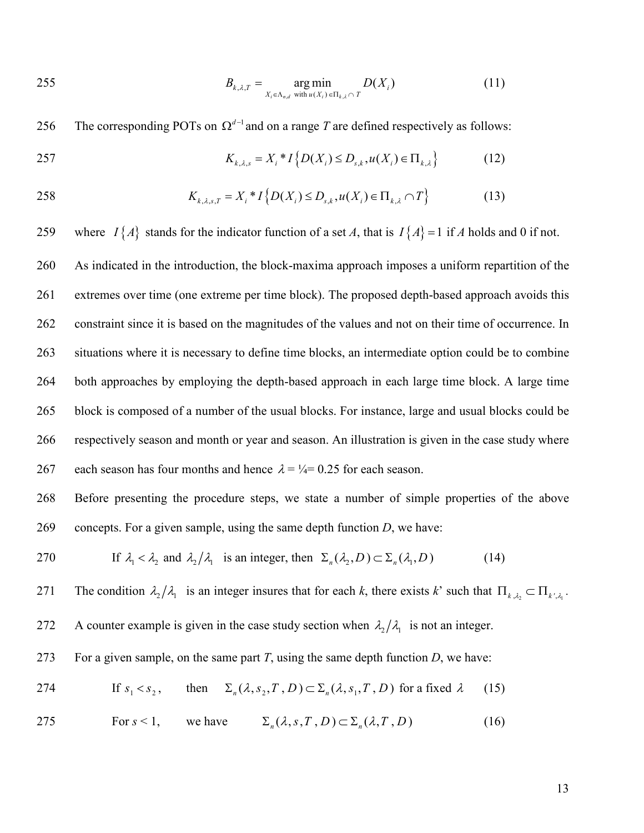$$
B_{k,\lambda,T} = \underset{X_i \in \Lambda_{n,d} \text{ with } u(X_i) \in \Pi_{k,\lambda} \cap T}{\arg \min} D(X_i)
$$
(11)

256 The corresponding POTs on  $\Omega^{d-1}$  and on a range *T* are defined respectively as follows:

257 
$$
K_{k,\lambda,s} = X_i * I\{D(X_i) \le D_{s,k}, u(X_i) \in \Pi_{k,\lambda}\}
$$
 (12)

258 
$$
K_{k,\lambda,s,T} = X_i * I\left\{D(X_i) \le D_{s,k}, u(X_i) \in \Pi_{k,\lambda} \cap T\right\}
$$
 (13)

259 where  $I\{A\}$  stands for the indicator function of a set *A*, that is  $I\{A\} = 1$  if *A* holds and 0 if not.

260 As indicated in the introduction, the block-maxima approach imposes a uniform repartition of the 261 extremes over time (one extreme per time block). The proposed depth-based approach avoids this 262 constraint since it is based on the magnitudes of the values and not on their time of occurrence. In 263 situations where it is necessary to define time blocks, an intermediate option could be to combine 264 both approaches by employing the depth-based approach in each large time block. A large time 265 block is composed of a number of the usual blocks. For instance, large and usual blocks could be 266 respectively season and month or year and season. An illustration is given in the case study where 267 each season has four months and hence  $\lambda = \frac{1}{4} = 0.25$  for each season.

268 Before presenting the procedure steps, we state a number of simple properties of the above 269 concepts. For a given sample, using the same depth function *D*, we have:

270 If 
$$
\lambda_1 < \lambda_2
$$
 and  $\lambda_2/\lambda_1$  is an integer, then  $\Sigma_n(\lambda_2, D) \subset \Sigma_n(\lambda_1, D)$  (14)

The condition  $\lambda_2/\lambda_1$  is an integer insures that for each *k*, there exists *k*' such that  $\Pi_{k,\lambda_2} \subset \Pi_{k',\lambda_1}$ .

272 A counter example is given in the case study section when  $\lambda_2/\lambda_1$  is not an integer.

273 For a given sample, on the same part *T*, using the same depth function *D*, we have:

274 If 
$$
s_1 < s_2
$$
, then  $\Sigma_n(\lambda, s_2, T, D) \subset \Sigma_n(\lambda, s_1, T, D)$  for a fixed  $\lambda$  (15)

275 For 
$$
s < 1
$$
, we have  $\Sigma_n(\lambda, s, T, D) \subset \Sigma_n(\lambda, T, D)$  (16)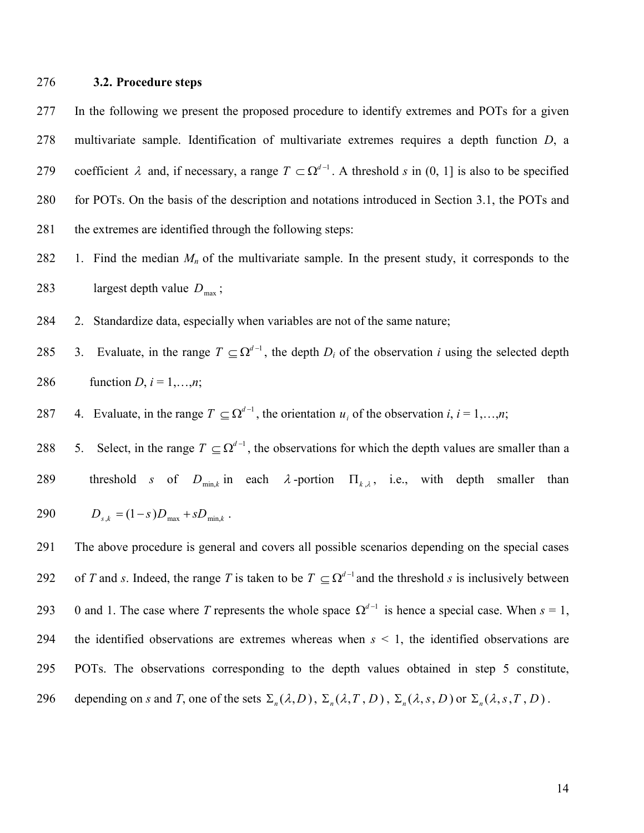#### 276 **3.2. Procedure steps**

277 In the following we present the proposed procedure to identify extremes and POTs for a given 278 multivariate sample. Identification of multivariate extremes requires a depth function *D*, a 279 coefficient λ and, if necessary, a range  $T \subset \Omega^{d-1}$ . A threshold *s* in (0, 1] is also to be specified 280 for POTs. On the basis of the description and notations introduced in Section 3.1, the POTs and 281 the extremes are identified through the following steps:

- 282 1. Find the median  $M_n$  of the multivariate sample. In the present study, it corresponds to the 283 largest depth value  $D_{\text{max}}$ ;
- 284 2. Standardize data, especially when variables are not of the same nature;
- 285 3. Evaluate, in the range  $T \subseteq \Omega^{d-1}$ , the depth  $D_i$  of the observation *i* using the selected depth 286 function *D*,  $i = 1,...,n$ ;
- 287 4. Evaluate, in the range  $T \subseteq \Omega^{d-1}$ , the orientation  $u_i$  of the observation  $i, i = 1,...,n$ ;

288 5. Select, in the range  $T \subseteq \Omega^{d-1}$ , the observations for which the depth values are smaller than a 289 threshold *s* of  $D_{\min,k}$  in each  $\lambda$ -portion  $\Pi_{k,\lambda}$ , i.e., with depth smaller than  $290$   $D_{s,k} = (1-s)D_{\text{max}} + sD_{\text{min }k}$ .

291 The above procedure is general and covers all possible scenarios depending on the special cases 292 of *T* and *s*. Indeed, the range *T* is taken to be  $T \subseteq \Omega^{d-1}$  and the threshold *s* is inclusively between 293 0 and 1. The case where *T* represents the whole space  $\Omega^{d-1}$  is hence a special case. When  $s = 1$ , 294 the identified observations are extremes whereas when *s* < 1, the identified observations are 295 POTs. The observations corresponding to the depth values obtained in step 5 constitute, depending on *s* and *T*, one of the sets  $\Sigma_n(\lambda, D)$ ,  $\Sigma_n(\lambda, T, D)$ ,  $\Sigma_n(\lambda, s, D)$  or  $\Sigma_n(\lambda, s, T, D)$ .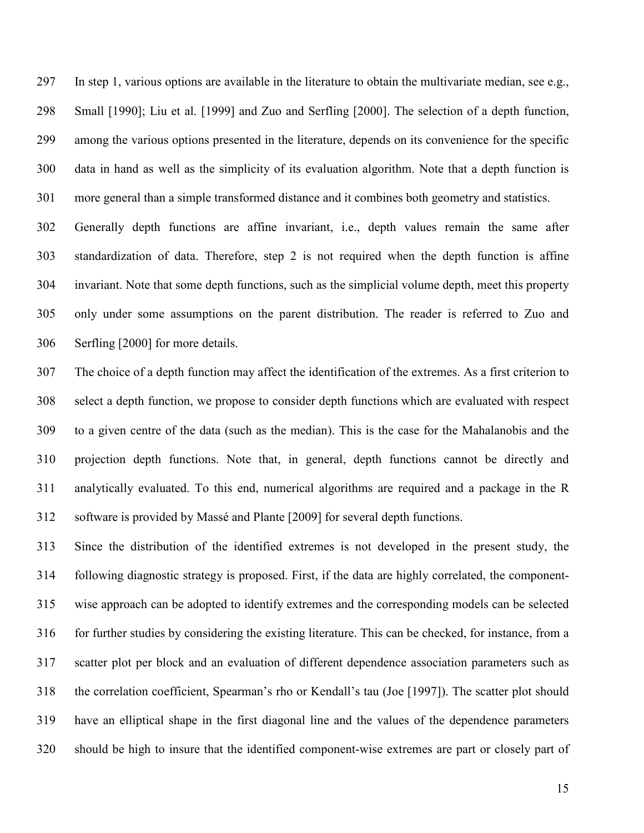297 In step 1, various options are available in the literature to obtain the multivariate median, see e.g., 298 Small [1990]; Liu et al. [1999] and Zuo and Serfling [2000]. The selection of a depth function, 299 among the various options presented in the literature, depends on its convenience for the specific 300 data in hand as well as the simplicity of its evaluation algorithm. Note that a depth function is 301 more general than a simple transformed distance and it combines both geometry and statistics.

302 Generally depth functions are affine invariant, i.e., depth values remain the same after 303 standardization of data. Therefore, step 2 is not required when the depth function is affine 304 invariant. Note that some depth functions, such as the simplicial volume depth, meet this property 305 only under some assumptions on the parent distribution. The reader is referred to Zuo and 306 Serfling [2000] for more details.

307 The choice of a depth function may affect the identification of the extremes. As a first criterion to 308 select a depth function, we propose to consider depth functions which are evaluated with respect 309 to a given centre of the data (such as the median). This is the case for the Mahalanobis and the 310 projection depth functions. Note that, in general, depth functions cannot be directly and 311 analytically evaluated. To this end, numerical algorithms are required and a package in the R 312 software is provided by Massé and Plante [2009] for several depth functions.

313 Since the distribution of the identified extremes is not developed in the present study, the 314 following diagnostic strategy is proposed. First, if the data are highly correlated, the component-315 wise approach can be adopted to identify extremes and the corresponding models can be selected 316 for further studies by considering the existing literature. This can be checked, for instance, from a 317 scatter plot per block and an evaluation of different dependence association parameters such as 318 the correlation coefficient, Spearman's rho or Kendall's tau (Joe [1997]). The scatter plot should 319 have an elliptical shape in the first diagonal line and the values of the dependence parameters 320 should be high to insure that the identified component-wise extremes are part or closely part of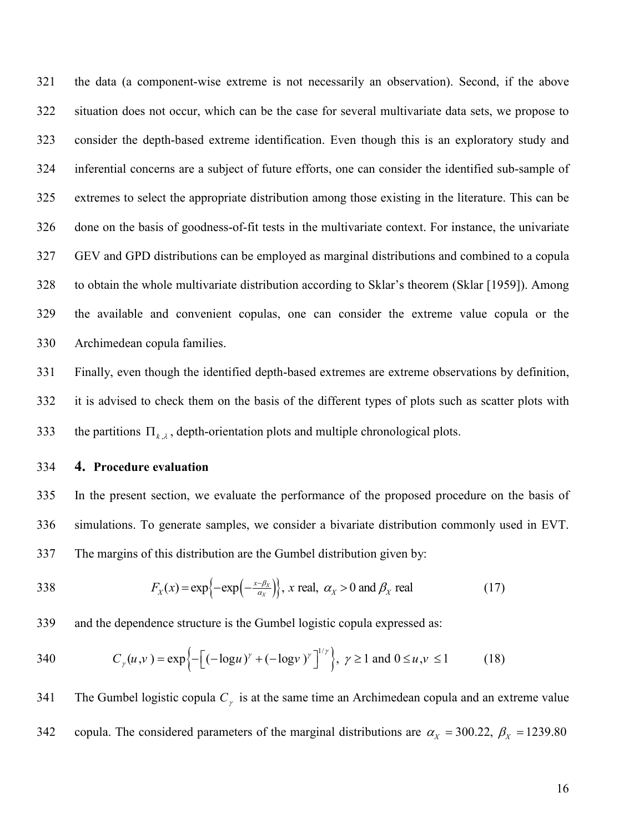321 the data (a component-wise extreme is not necessarily an observation). Second, if the above 322 situation does not occur, which can be the case for several multivariate data sets, we propose to 323 consider the depth-based extreme identification. Even though this is an exploratory study and 324 inferential concerns are a subject of future efforts, one can consider the identified sub-sample of 325 extremes to select the appropriate distribution among those existing in the literature. This can be 326 done on the basis of goodness-of-fit tests in the multivariate context. For instance, the univariate 327 GEV and GPD distributions can be employed as marginal distributions and combined to a copula 328 to obtain the whole multivariate distribution according to Sklar's theorem (Sklar [1959]). Among 329 the available and convenient copulas, one can consider the extreme value copula or the 330 Archimedean copula families.

331 Finally, even though the identified depth-based extremes are extreme observations by definition, 332 it is advised to check them on the basis of the different types of plots such as scatter plots with 333 the partitions  $\Pi_{k,\lambda}$ , depth-orientation plots and multiple chronological plots.

334 **4. Procedure evaluation** 

335 In the present section, we evaluate the performance of the proposed procedure on the basis of 336 simulations. To generate samples, we consider a bivariate distribution commonly used in EVT. 337 The margins of this distribution are the Gumbel distribution given by:

338 
$$
F_X(x) = \exp\left\{-\exp\left(-\frac{x-\beta_X}{\alpha_X}\right)\right\}, x \text{ real}, \alpha_X > 0 \text{ and } \beta_X \text{ real}
$$
 (17)

339 and the dependence structure is the Gumbel logistic copula expressed as:

340 
$$
C_{\gamma}(u,v) = \exp\left\{-\left[(-\log u)^{\gamma} + (-\log v)^{\gamma}\right]^{1/\gamma}\right\}, \gamma \ge 1 \text{ and } 0 \le u, v \le 1
$$
 (18)

341 The Gumbel logistic copula  $C_{\gamma}$  is at the same time an Archimedean copula and an extreme value copula. The considered parameters of the marginal distributions are  $\alpha_X = 300.22$ ,  $\beta_X = 1239.80$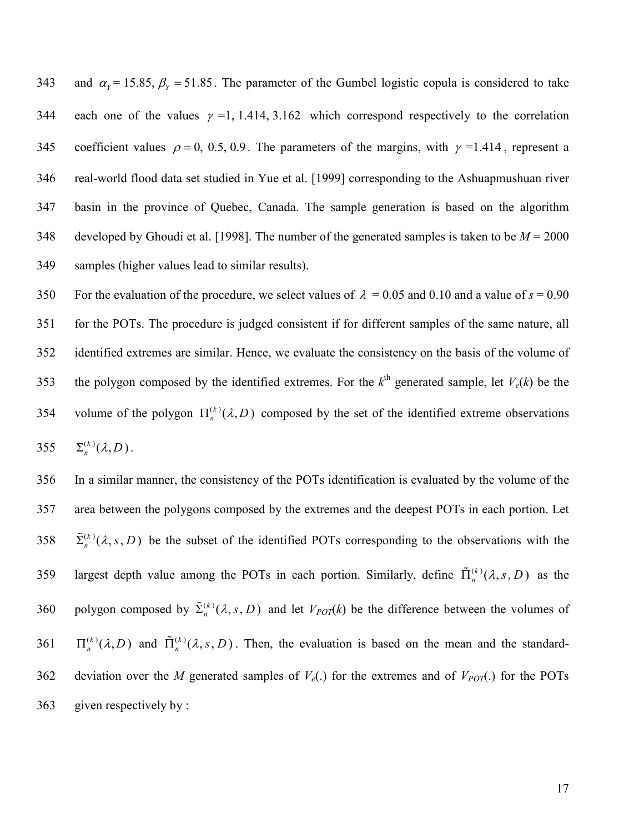and  $\alpha_y = 15.85$ ,  $\beta_y = 51.85$ . The parameter of the Gumbel logistic copula is considered to take 344 each one of the values  $\gamma = 1, 1.414, 3.162$  which correspond respectively to the correlation 345 coefficient values  $\rho = 0, 0.5, 0.9$ . The parameters of the margins, with  $\gamma = 1.414$ , represent a 346 real-world flood data set studied in Yue et al. [1999] corresponding to the Ashuapmushuan river 347 basin in the province of Quebec, Canada. The sample generation is based on the algorithm 348 developed by Ghoudi et al. [1998]. The number of the generated samples is taken to be *M* = 2000 349 samples (higher values lead to similar results).

350 For the evaluation of the procedure, we select values of  $\lambda = 0.05$  and 0.10 and a value of  $s = 0.90$ 351 for the POTs. The procedure is judged consistent if for different samples of the same nature, all 352 identified extremes are similar. Hence, we evaluate the consistency on the basis of the volume of 353 the polygon composed by the identified extremes. For the  $k^{\text{th}}$  generated sample, let  $V_e(k)$  be the 354 volume of the polygon  $\Pi_n^{(k)}(\lambda, D)$  composed by the set of the identified extreme observations 355  $\Sigma_n^{(k)}(\lambda, D)$ .

356 In a similar manner, the consistency of the POTs identification is evaluated by the volume of the 357 area between the polygons composed by the extremes and the deepest POTs in each portion. Let 358  $\tilde{\Sigma}_n^{(k)}(\lambda, s, D)$  be the subset of the identified POTs corresponding to the observations with the largest depth value among the POTs in each portion. Similarly, define  $\tilde{\Pi}_n^{(k)}(\lambda, s, D)$  as the 360 polygon composed by  $\tilde{\Sigma}_n^{(k)}(\lambda, s, D)$  and let  $V_{POT}(k)$  be the difference between the volumes of  $\Pi_n^{(k)}(\lambda, D)$  and  $\tilde{\Pi}_n^{(k)}(\lambda, s, D)$ . Then, the evaluation is based on the mean and the standard-362 deviation over the *M* generated samples of  $V_e(.)$  for the extremes and of  $V_{POT}(.)$  for the POTs 363 given respectively by :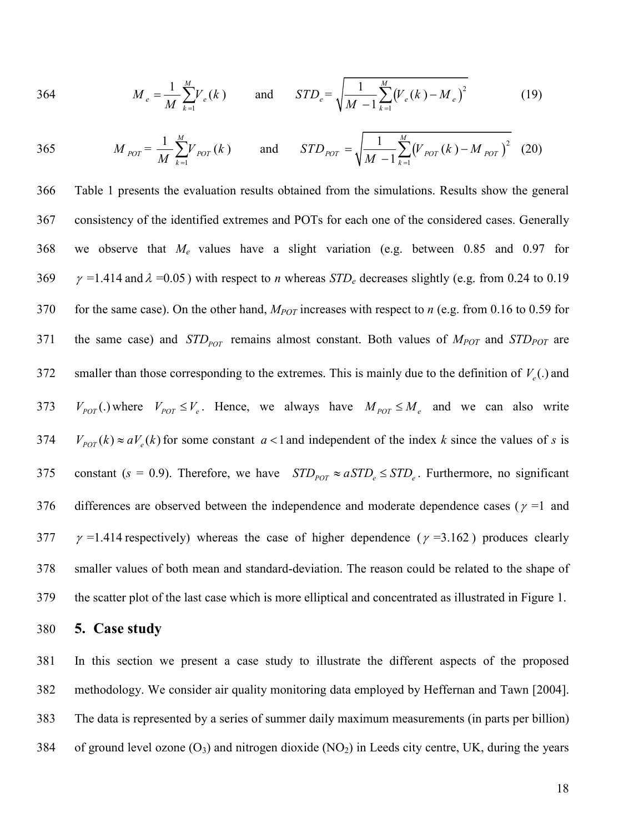364 
$$
M_e = \frac{1}{M} \sum_{k=1}^{M} V_e(k)
$$
 and  $STD_e = \sqrt{\frac{1}{M-1} \sum_{k=1}^{M} (V_e(k) - M_e)^2}$  (19)

365 
$$
M_{POT} = \frac{1}{M} \sum_{k=1}^{M} V_{POT}(k)
$$
 and  $STD_{POT} = \sqrt{\frac{1}{M-1} \sum_{k=1}^{M} (V_{POT}(k) - M_{POT})^2}$  (20)

366 Table 1 presents the evaluation results obtained from the simulations. Results show the general 367 consistency of the identified extremes and POTs for each one of the considered cases. Generally 368 we observe that *Me* values have a slight variation (e.g. between 0.85 and 0.97 for 369  $\gamma$  =1.414 and  $\lambda$  =0.05) with respect to *n* whereas *STD<sub>e</sub>* decreases slightly (e.g. from 0.24 to 0.19 370 for the same case). On the other hand, *MPOT* increases with respect to *n* (e.g. from 0.16 to 0.59 for the same case) and  $STD_{POT}$  remains almost constant. Both values of  $M_{POT}$  and  $STD_{POT}$  are smaller than those corresponding to the extremes. This is mainly due to the definition of  $V_e$ .) and 373  $V_{POT}$ .) where  $V_{POT} \leq V_e$ . Hence, we always have  $M_{POT} \leq M_e$  and we can also write  $V_{\text{POT}}(k) \approx aV_e(k)$  for some constant  $a < 1$  and independent of the index *k* since the values of *s* is 375 constant ( $s = 0.9$ ). Therefore, we have  $STD_{pOT} \approx aSTD_s \leq STD_s$ . Furthermore, no significant 376 differences are observed between the independence and moderate dependence cases ( $\gamma$  =1 and 377  $\gamma$  =1.414 respectively) whereas the case of higher dependence ( $\gamma$  =3.162) produces clearly 378 smaller values of both mean and standard-deviation. The reason could be related to the shape of 379 the scatter plot of the last case which is more elliptical and concentrated as illustrated in Figure 1.

#### 380 **5. Case study**

381 In this section we present a case study to illustrate the different aspects of the proposed 382 methodology. We consider air quality monitoring data employed by Heffernan and Tawn [2004]. 383 The data is represented by a series of summer daily maximum measurements (in parts per billion) 384 of ground level ozone  $(O_3)$  and nitrogen dioxide  $(NO_2)$  in Leeds city centre, UK, during the years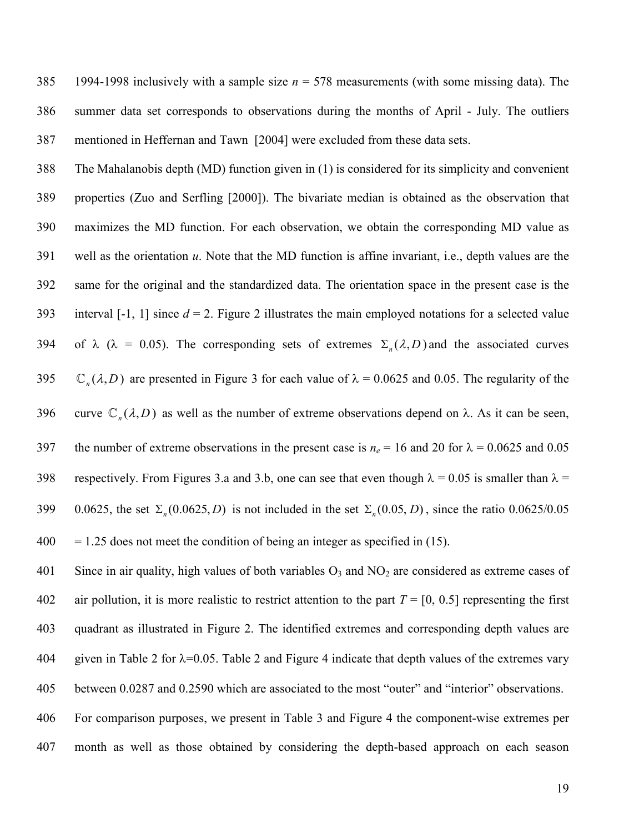385 1994-1998 inclusively with a sample size *n* = 578 measurements (with some missing data). The 386 summer data set corresponds to observations during the months of April - July. The outliers 387 mentioned in Heffernan and Tawn [2004] were excluded from these data sets.

388 The Mahalanobis depth (MD) function given in (1) is considered for its simplicity and convenient 389 properties (Zuo and Serfling [2000]). The bivariate median is obtained as the observation that 390 maximizes the MD function. For each observation, we obtain the corresponding MD value as 391 well as the orientation *u*. Note that the MD function is affine invariant, i.e., depth values are the 392 same for the original and the standardized data. The orientation space in the present case is the 393 interval  $[-1, 1]$  since  $d = 2$ . Figure 2 illustrates the main employed notations for a selected value 394 of λ (λ = 0.05). The corresponding sets of extremes  $\Sigma_n(\lambda, D)$  and the associated curves 395  $\mathbb{C}_n(\lambda, D)$  are presented in Figure 3 for each value of  $\lambda = 0.0625$  and 0.05. The regularity of the 396 curve  $\mathbb{C}_n(\lambda, D)$  as well as the number of extreme observations depend on  $\lambda$ . As it can be seen, 397 the number of extreme observations in the present case is  $n_e = 16$  and 20 for  $\lambda = 0.0625$  and 0.05 398 respectively. From Figures 3.a and 3.b, one can see that even though  $\lambda = 0.05$  is smaller than  $\lambda =$ 0.0625, the set  $\Sigma_n(0.0625, D)$  is not included in the set  $\Sigma_n(0.05, D)$ , since the ratio 0.0625/0.05  $400 = 1.25$  does not meet the condition of being an integer as specified in (15).

401 Since in air quality, high values of both variables  $O_3$  and  $NO_2$  are considered as extreme cases of 402 air pollution, it is more realistic to restrict attention to the part  $T = [0, 0.5]$  representing the first 403 quadrant as illustrated in Figure 2. The identified extremes and corresponding depth values are 404 given in Table 2 for  $\lambda$ =0.05. Table 2 and Figure 4 indicate that depth values of the extremes vary 405 between 0.0287 and 0.2590 which are associated to the most "outer" and "interior" observations. 406 For comparison purposes, we present in Table 3 and Figure 4 the component-wise extremes per

407 month as well as those obtained by considering the depth-based approach on each season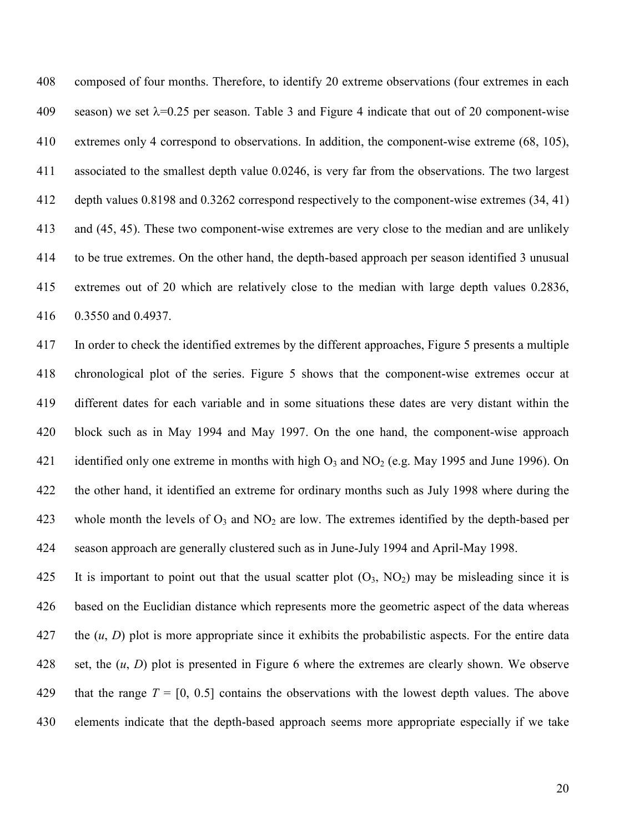408 composed of four months. Therefore, to identify 20 extreme observations (four extremes in each 409 season) we set  $\lambda$ =0.25 per season. Table 3 and Figure 4 indicate that out of 20 component-wise 410 extremes only 4 correspond to observations. In addition, the component-wise extreme (68, 105), 411 associated to the smallest depth value 0.0246, is very far from the observations. The two largest 412 depth values 0.8198 and 0.3262 correspond respectively to the component-wise extremes (34, 41) 413 and (45, 45). These two component-wise extremes are very close to the median and are unlikely 414 to be true extremes. On the other hand, the depth-based approach per season identified 3 unusual 415 extremes out of 20 which are relatively close to the median with large depth values 0.2836, 416 0.3550 and 0.4937.

417 In order to check the identified extremes by the different approaches, Figure 5 presents a multiple 418 chronological plot of the series. Figure 5 shows that the component-wise extremes occur at 419 different dates for each variable and in some situations these dates are very distant within the 420 block such as in May 1994 and May 1997. On the one hand, the component-wise approach 421 identified only one extreme in months with high  $O_3$  and  $NO_2$  (e.g. May 1995 and June 1996). On 422 the other hand, it identified an extreme for ordinary months such as July 1998 where during the 423 whole month the levels of  $O_3$  and  $NO_2$  are low. The extremes identified by the depth-based per 424 season approach are generally clustered such as in June-July 1994 and April-May 1998.

425 It is important to point out that the usual scatter plot  $(O_3, NO_2)$  may be misleading since it is 426 based on the Euclidian distance which represents more the geometric aspect of the data whereas 427 the (*u*, *D*) plot is more appropriate since it exhibits the probabilistic aspects. For the entire data 428 set, the (*u*, *D*) plot is presented in Figure 6 where the extremes are clearly shown. We observe 429 that the range  $T = [0, 0.5]$  contains the observations with the lowest depth values. The above 430 elements indicate that the depth-based approach seems more appropriate especially if we take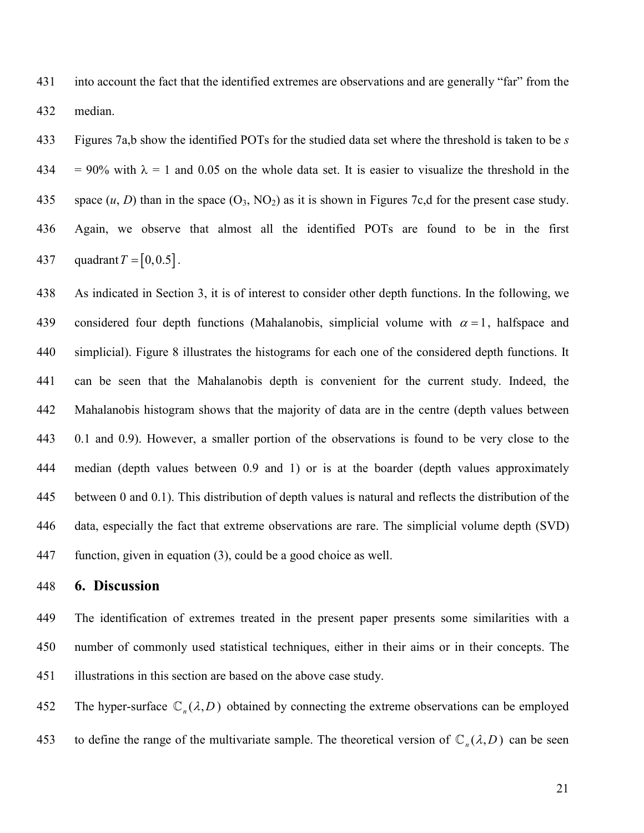431 into account the fact that the identified extremes are observations and are generally "far" from the 432 median.

433 Figures 7a,b show the identified POTs for the studied data set where the threshold is taken to be *s* 434 = 90% with  $\lambda$  = 1 and 0.05 on the whole data set. It is easier to visualize the threshold in the 435 space  $(u, D)$  than in the space  $(O_3, NO_2)$  as it is shown in Figures 7c,d for the present case study. 436 Again, we observe that almost all the identified POTs are found to be in the first 437 quadrant  $T = [0, 0.5]$ .

438 As indicated in Section 3, it is of interest to consider other depth functions. In the following, we 439 considered four depth functions (Mahalanobis, simplicial volume with  $\alpha = 1$ , halfspace and 440 simplicial). Figure 8 illustrates the histograms for each one of the considered depth functions. It 441 can be seen that the Mahalanobis depth is convenient for the current study. Indeed, the 442 Mahalanobis histogram shows that the majority of data are in the centre (depth values between 443 0.1 and 0.9). However, a smaller portion of the observations is found to be very close to the 444 median (depth values between 0.9 and 1) or is at the boarder (depth values approximately 445 between 0 and 0.1). This distribution of depth values is natural and reflects the distribution of the 446 data, especially the fact that extreme observations are rare. The simplicial volume depth (SVD) 447 function, given in equation (3), could be a good choice as well.

# 448 **6. Discussion**

449 The identification of extremes treated in the present paper presents some similarities with a 450 number of commonly used statistical techniques, either in their aims or in their concepts. The 451 illustrations in this section are based on the above case study.

The hyper-surface  $\mathbb{C}_n(\lambda, D)$  obtained by connecting the extreme observations can be employed

to define the range of the multivariate sample. The theoretical version of  $\mathbb{C}_n(\lambda, D)$  can be seen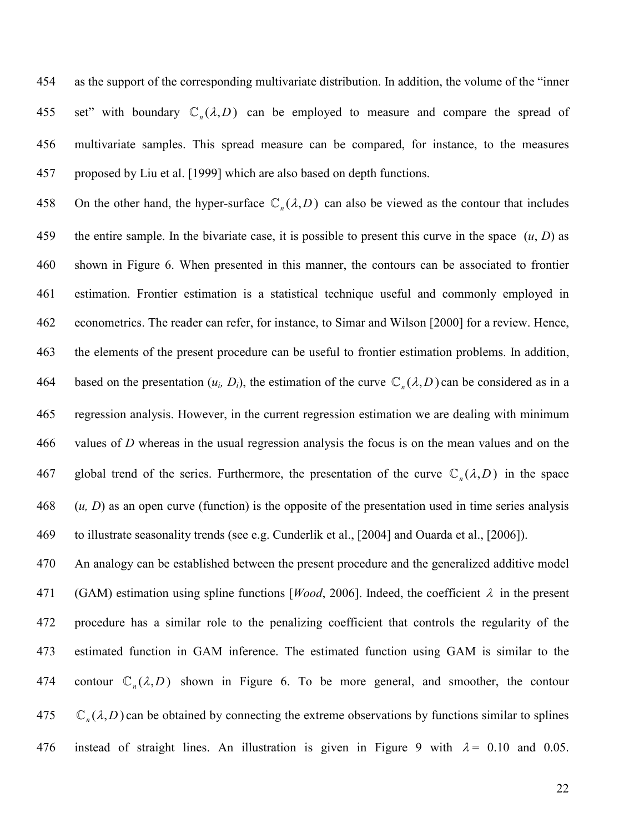454 as the support of the corresponding multivariate distribution. In addition, the volume of the "inner 455 set" with boundary  $\mathbb{C}_n(\lambda, D)$  can be employed to measure and compare the spread of 456 multivariate samples. This spread measure can be compared, for instance, to the measures 457 proposed by Liu et al. [1999] which are also based on depth functions.

458 On the other hand, the hyper-surface  $\mathbb{C}_n(\lambda, D)$  can also be viewed as the contour that includes 459 the entire sample. In the bivariate case, it is possible to present this curve in the space (*u*, *D*) as 460 shown in Figure 6. When presented in this manner, the contours can be associated to frontier 461 estimation. Frontier estimation is a statistical technique useful and commonly employed in 462 econometrics. The reader can refer, for instance, to Simar and Wilson [2000] for a review. Hence, 463 the elements of the present procedure can be useful to frontier estimation problems. In addition, based on the presentation  $(u_i, D_i)$ , the estimation of the curve  $\mathbb{C}_n(\lambda, D)$  can be considered as in a 465 regression analysis. However, in the current regression estimation we are dealing with minimum 466 values of *D* whereas in the usual regression analysis the focus is on the mean values and on the 467 global trend of the series. Furthermore, the presentation of the curve  $\mathbb{C}_n(\lambda, D)$  in the space 468 (*u, D*) as an open curve (function) is the opposite of the presentation used in time series analysis 469 to illustrate seasonality trends (see e.g. Cunderlik et al., [2004] and Ouarda et al., [2006]).

470 An analogy can be established between the present procedure and the generalized additive model 471 (GAM) estimation using spline functions [*Wood*, 2006]. Indeed, the coefficient λ in the present 472 procedure has a similar role to the penalizing coefficient that controls the regularity of the 473 estimated function in GAM inference. The estimated function using GAM is similar to the 474 contour  $\mathbb{C}_n(\lambda, D)$  shown in Figure 6. To be more general, and smoother, the contour  $\mathbb{C}_n(\lambda, D)$  can be obtained by connecting the extreme observations by functions similar to splines 476 instead of straight lines. An illustration is given in Figure 9 with  $\lambda = 0.10$  and 0.05.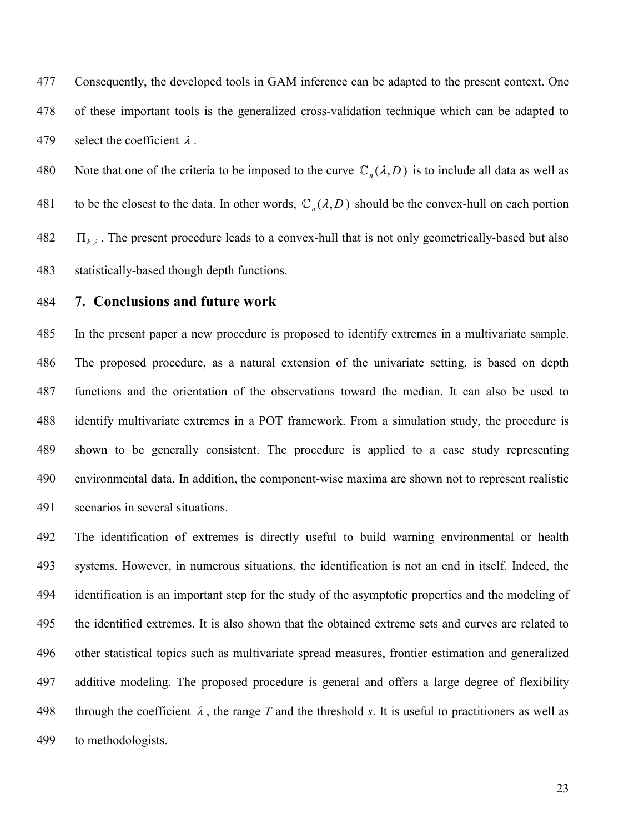477 Consequently, the developed tools in GAM inference can be adapted to the present context. One 478 of these important tools is the generalized cross-validation technique which can be adapted to 479 select the coefficient  $\lambda$ .

Note that one of the criteria to be imposed to the curve  $\mathbb{C}_n(\lambda, D)$  is to include all data as well as to be the closest to the data. In other words,  $\mathbb{C}_n(\lambda, D)$  should be the convex-hull on each portion  $\Pi_{k,\lambda}$ . The present procedure leads to a convex-hull that is not only geometrically-based but also 483 statistically-based though depth functions.

### 484 **7. Conclusions and future work**

485 In the present paper a new procedure is proposed to identify extremes in a multivariate sample. 486 The proposed procedure, as a natural extension of the univariate setting, is based on depth 487 functions and the orientation of the observations toward the median. It can also be used to 488 identify multivariate extremes in a POT framework. From a simulation study, the procedure is 489 shown to be generally consistent. The procedure is applied to a case study representing 490 environmental data. In addition, the component-wise maxima are shown not to represent realistic 491 scenarios in several situations.

492 The identification of extremes is directly useful to build warning environmental or health 493 systems. However, in numerous situations, the identification is not an end in itself. Indeed, the 494 identification is an important step for the study of the asymptotic properties and the modeling of 495 the identified extremes. It is also shown that the obtained extreme sets and curves are related to 496 other statistical topics such as multivariate spread measures, frontier estimation and generalized 497 additive modeling. The proposed procedure is general and offers a large degree of flexibility 498 through the coefficient  $\lambda$ , the range *T* and the threshold *s*. It is useful to practitioners as well as 499 to methodologists.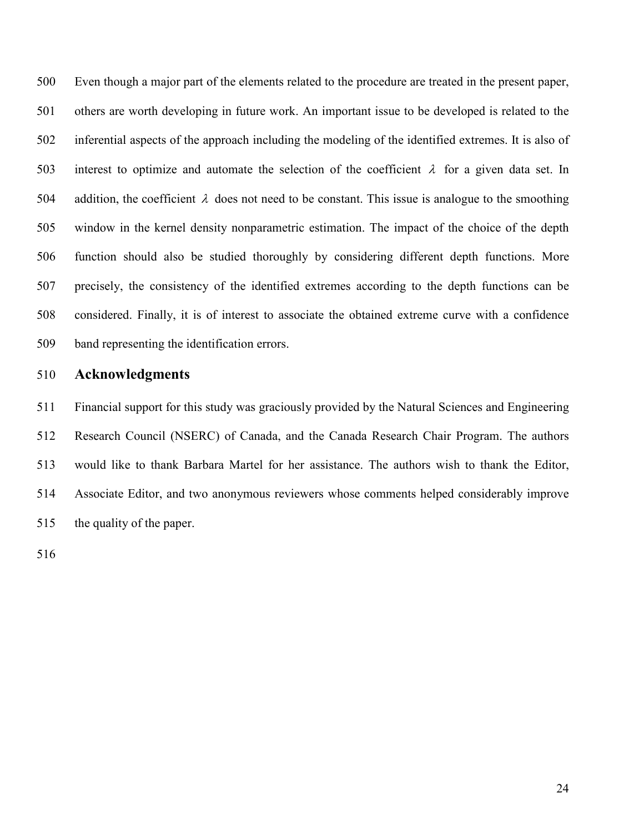500 Even though a major part of the elements related to the procedure are treated in the present paper, 501 others are worth developing in future work. An important issue to be developed is related to the 502 inferential aspects of the approach including the modeling of the identified extremes. It is also of 503 interest to optimize and automate the selection of the coefficient  $\lambda$  for a given data set. In 504 addition, the coefficient  $\lambda$  does not need to be constant. This issue is analogue to the smoothing 505 window in the kernel density nonparametric estimation. The impact of the choice of the depth 506 function should also be studied thoroughly by considering different depth functions. More 507 precisely, the consistency of the identified extremes according to the depth functions can be 508 considered. Finally, it is of interest to associate the obtained extreme curve with a confidence 509 band representing the identification errors.

#### 510 **Acknowledgments**

511 Financial support for this study was graciously provided by the Natural Sciences and Engineering 512 Research Council (NSERC) of Canada, and the Canada Research Chair Program. The authors 513 would like to thank Barbara Martel for her assistance. The authors wish to thank the Editor, 514 Associate Editor, and two anonymous reviewers whose comments helped considerably improve 515 the quality of the paper.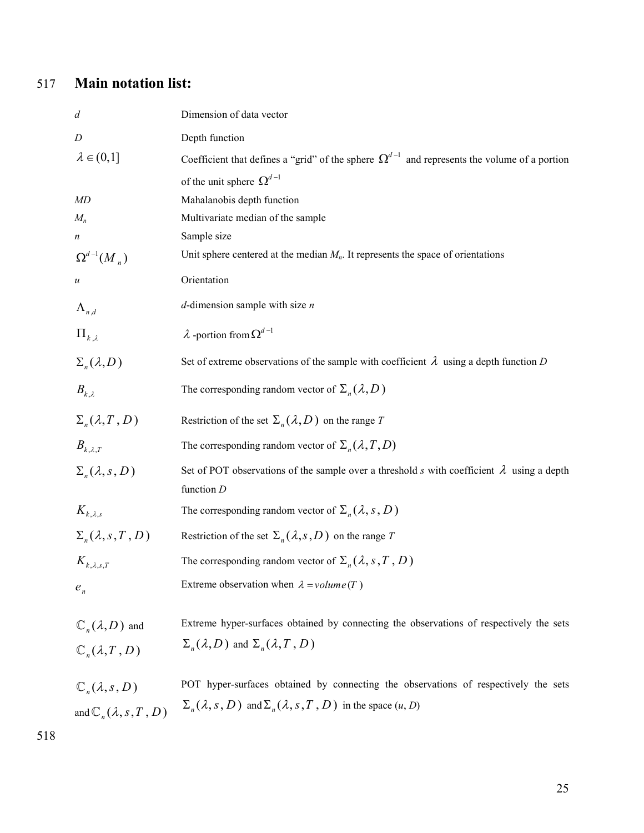# 517 **Main notation list:**

| $\boldsymbol{d}$                                                    | Dimension of data vector                                                                                                                                                |
|---------------------------------------------------------------------|-------------------------------------------------------------------------------------------------------------------------------------------------------------------------|
| D                                                                   | Depth function                                                                                                                                                          |
| $\lambda \in (0,1]$                                                 | Coefficient that defines a "grid" of the sphere $\Omega^{d-1}$ and represents the volume of a portion                                                                   |
|                                                                     | of the unit sphere $\Omega^{d-1}$                                                                                                                                       |
| MD                                                                  | Mahalanobis depth function                                                                                                                                              |
| $M_n$                                                               | Multivariate median of the sample                                                                                                                                       |
| $\boldsymbol{n}$                                                    | Sample size                                                                                                                                                             |
| $\Omega^{d-1}(M_n)$                                                 | Unit sphere centered at the median $M_n$ . It represents the space of orientations                                                                                      |
| $\boldsymbol{u}$                                                    | Orientation                                                                                                                                                             |
| $\Lambda_{n,d}$                                                     | $d$ -dimension sample with size $n$                                                                                                                                     |
| $\Pi_{k,\lambda}$                                                   | $\lambda$ -portion from $\Omega^{d-1}$                                                                                                                                  |
| $\Sigma_n(\lambda,D)$                                               | Set of extreme observations of the sample with coefficient $\lambda$ using a depth function D                                                                           |
| $B_{k,\lambda}$                                                     | The corresponding random vector of $\Sigma_n(\lambda, D)$                                                                                                               |
| $\Sigma_n(\lambda, T, D)$                                           | Restriction of the set $\Sigma_n(\lambda, D)$ on the range T                                                                                                            |
| $B_{k,\lambda,T}$                                                   | The corresponding random vector of $\Sigma_n(\lambda, T, D)$                                                                                                            |
| $\Sigma_n(\lambda, s, D)$                                           | Set of POT observations of the sample over a threshold s with coefficient $\lambda$ using a depth<br>function $D$                                                       |
| $K_{k,\lambda,s}$                                                   | The corresponding random vector of $\Sigma_n(\lambda, s, D)$                                                                                                            |
| $\Sigma_n(\lambda, s, T, D)$                                        | Restriction of the set $\Sigma_n(\lambda, s, D)$ on the range T                                                                                                         |
| $K_{k,\lambda,s,T}$                                                 | The corresponding random vector of $\Sigma_n(\lambda, s, T, D)$                                                                                                         |
| $e_{n}$                                                             | Extreme observation when $\lambda = volume(T)$                                                                                                                          |
| $\mathbb{C}_n(\lambda,D)$ and                                       | Extreme hyper-surfaces obtained by connecting the observations of respectively the sets                                                                                 |
| $\mathbb{C}_n(\lambda,T,D)$                                         | $\Sigma_n(\lambda, D)$ and $\Sigma_n(\lambda, T, D)$                                                                                                                    |
| $\mathbb{C}_n(\lambda,s,D)$<br>and $\mathbb{C}_n(\lambda, s, T, D)$ | POT hyper-surfaces obtained by connecting the observations of respectively the sets<br>$\Sigma_n(\lambda, s, D)$ and $\Sigma_n(\lambda, s, T, D)$ in the space $(u, D)$ |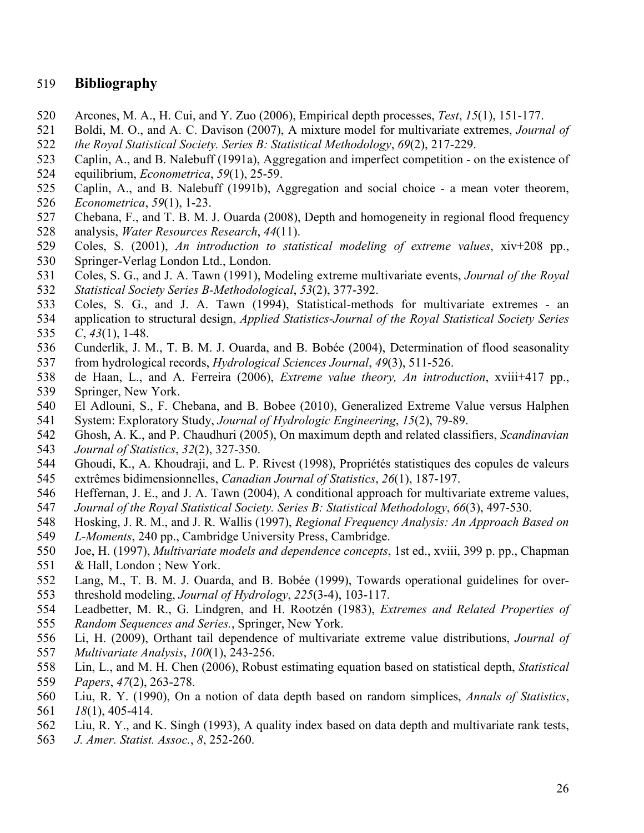# 519 **Bibliography**

- 520 Arcones, M. A., H. Cui, and Y. Zuo (2006), Empirical depth processes, *Test*, *15*(1), 151-177.
- 521 Boldi, M. O., and A. C. Davison (2007), A mixture model for multivariate extremes, *Journal of*  522 *the Royal Statistical Society. Series B: Statistical Methodology*, *69*(2), 217-229.
- 523 Caplin, A., and B. Nalebuff (1991a), Aggregation and imperfect competition on the existence of
- 524 equilibrium, *Econometrica*, *59*(1), 25-59.
- 525 Caplin, A., and B. Nalebuff (1991b), Aggregation and social choice a mean voter theorem, 526 *Econometrica*, *59*(1), 1-23.
- 527 Chebana, F., and T. B. M. J. Ouarda (2008), Depth and homogeneity in regional flood frequency 528 analysis, *Water Resources Research*, *44*(11).
- 529 Coles, S. (2001), *An introduction to statistical modeling of extreme values*, xiv+208 pp., 530 Springer-Verlag London Ltd., London.
- 531 Coles, S. G., and J. A. Tawn (1991), Modeling extreme multivariate events, *Journal of the Royal*  532 *Statistical Society Series B-Methodological*, *53*(2), 377-392.
- 533 Coles, S. G., and J. A. Tawn (1994), Statistical-methods for multivariate extremes an
- 534 application to structural design, *Applied Statistics-Journal of the Royal Statistical Society Series*
- 535 *C*, *43*(1), 1-48.
- 536 Cunderlik, J. M., T. B. M. J. Ouarda, and B. Bobée (2004), Determination of flood seasonality 537 from hydrological records, *Hydrological Sciences Journal*, *49*(3), 511-526.
- 538 de Haan, L., and A. Ferreira (2006), *Extreme value theory, An introduction*, xviii+417 pp., 539 Springer, New York.
- 540 El Adlouni, S., F. Chebana, and B. Bobee (2010), Generalized Extreme Value versus Halphen 541 System: Exploratory Study, *Journal of Hydrologic Engineering*, *15*(2), 79-89.
- 542 Ghosh, A. K., and P. Chaudhuri (2005), On maximum depth and related classifiers, *Scandinavian*  543 *Journal of Statistics*, *32*(2), 327-350.
- 544 Ghoudi, K., A. Khoudraji, and L. P. Rivest (1998), Propriétés statistiques des copules de valeurs 545 extrêmes bidimensionnelles, *Canadian Journal of Statistics*, *26*(1), 187-197.
- 546 Heffernan, J. E., and J. A. Tawn (2004), A conditional approach for multivariate extreme values, 547 *Journal of the Royal Statistical Society. Series B: Statistical Methodology*, *66*(3), 497-530.
- 548 Hosking, J. R. M., and J. R. Wallis (1997), *Regional Frequency Analysis: An Approach Based on*
- 549 *L-Moments*, 240 pp., Cambridge University Press, Cambridge.
- 550 Joe, H. (1997), *Multivariate models and dependence concepts*, 1st ed., xviii, 399 p. pp., Chapman 551 & Hall, London ; New York.
- 552 Lang, M., T. B. M. J. Ouarda, and B. Bobée (1999), Towards operational guidelines for over-553 threshold modeling, *Journal of Hydrology*, *225*(3-4), 103-117.
- 554 Leadbetter, M. R., G. Lindgren, and H. Rootzén (1983), *Extremes and Related Properties of*  555 *Random Sequences and Series.*, Springer, New York.
- 556 Li, H. (2009), Orthant tail dependence of multivariate extreme value distributions, *Journal of*
- 557 *Multivariate Analysis*, *100*(1), 243-256.
- 558 Lin, L., and M. H. Chen (2006), Robust estimating equation based on statistical depth, *Statistical*  559 *Papers*, *47*(2), 263-278.
- 560 Liu, R. Y. (1990), On a notion of data depth based on random simplices, *Annals of Statistics*, 561 *18*(1), 405-414.
- 562 Liu, R. Y., and K. Singh (1993), A quality index based on data depth and multivariate rank tests,
- 563 *J. Amer. Statist. Assoc.*, *8*, 252-260.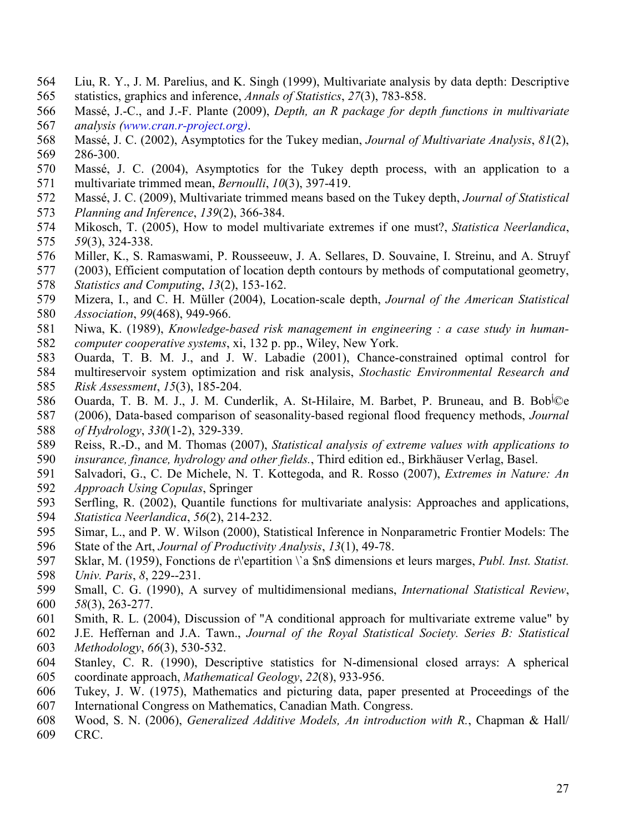- 564 Liu, R. Y., J. M. Parelius, and K. Singh (1999), Multivariate analysis by data depth: Descriptive 565 statistics, graphics and inference, *Annals of Statistics*, *27*(3), 783-858.
- 566 Massé, J.-C., and J.-F. Plante (2009), *Depth, an R package for depth functions in multivariate*  567 *analysis (www.cran.r-project.org)*.
- 568 Massé, J. C. (2002), Asymptotics for the Tukey median, *Journal of Multivariate Analysis*, *81*(2), 569 286-300.
- 570 Massé, J. C. (2004), Asymptotics for the Tukey depth process, with an application to a 571 multivariate trimmed mean, *Bernoulli*, *10*(3), 397-419.
- 572 Massé, J. C. (2009), Multivariate trimmed means based on the Tukey depth, *Journal of Statistical*  573 *Planning and Inference*, *139*(2), 366-384.
- 574 Mikosch, T. (2005), How to model multivariate extremes if one must?, *Statistica Neerlandica*, 575 *59*(3), 324-338.
- 576 Miller, K., S. Ramaswami, P. Rousseeuw, J. A. Sellares, D. Souvaine, I. Streinu, and A. Struyf
- 577 (2003), Efficient computation of location depth contours by methods of computational geometry, 578 *Statistics and Computing*, *13*(2), 153-162.
- 579 Mizera, I., and C. H. Müller (2004), Location-scale depth, *Journal of the American Statistical*  580 *Association*, *99*(468), 949-966.
- 581 Niwa, K. (1989), *Knowledge-based risk management in engineering : a case study in human-*582 *computer cooperative systems*, xi, 132 p. pp., Wiley, New York.
- 583 Ouarda, T. B. M. J., and J. W. Labadie (2001), Chance-constrained optimal control for 584 multireservoir system optimization and risk analysis, *Stochastic Environmental Research and*  585 *Risk Assessment*, *15*(3), 185-204.
- 586 Ouarda, T. B. M. J., J. M. Cunderlik, A. St-Hilaire, M. Barbet, P. Bruneau, and B. Bobأ©e
- 587 (2006), Data-based comparison of seasonality-based regional flood frequency methods, *Journal*  588 *of Hydrology*, *330*(1-2), 329-339.
- 589 Reiss, R.-D., and M. Thomas (2007), *Statistical analysis of extreme values with applications to*  590 *insurance, finance, hydrology and other fields.*, Third edition ed., Birkhäuser Verlag, Basel.
- 591 Salvadori, G., C. De Michele, N. T. Kottegoda, and R. Rosso (2007), *Extremes in Nature: An*  592 *Approach Using Copulas*, Springer
- 593 Serfling, R. (2002), Quantile functions for multivariate analysis: Approaches and applications, 594 *Statistica Neerlandica*, *56*(2), 214-232.
- 595 Simar, L., and P. W. Wilson (2000), Statistical Inference in Nonparametric Frontier Models: The
- 596 State of the Art, *Journal of Productivity Analysis*, *13*(1), 49-78.
- 597 Sklar, M. (1959), Fonctions de r\'epartition \`a \$n\$ dimensions et leurs marges, *Publ. Inst. Statist.*  598 *Univ. Paris*, *8*, 229--231.
- 599 Small, C. G. (1990), A survey of multidimensional medians, *International Statistical Review*, 600 *58*(3), 263-277.
- 601 Smith, R. L. (2004), Discussion of "A conditional approach for multivariate extreme value" by
- 602 J.E. Heffernan and J.A. Tawn., *Journal of the Royal Statistical Society. Series B: Statistical*  603 *Methodology*, *66*(3), 530-532.
- 604 Stanley, C. R. (1990), Descriptive statistics for N-dimensional closed arrays: A spherical 605 coordinate approach, *Mathematical Geology*, *22*(8), 933-956.
- 606 Tukey, J. W. (1975), Mathematics and picturing data, paper presented at Proceedings of the 607 International Congress on Mathematics, Canadian Math. Congress.
- 608 Wood, S. N. (2006), *Generalized Additive Models, An introduction with R.*, Chapman & Hall/
- 609 CRC.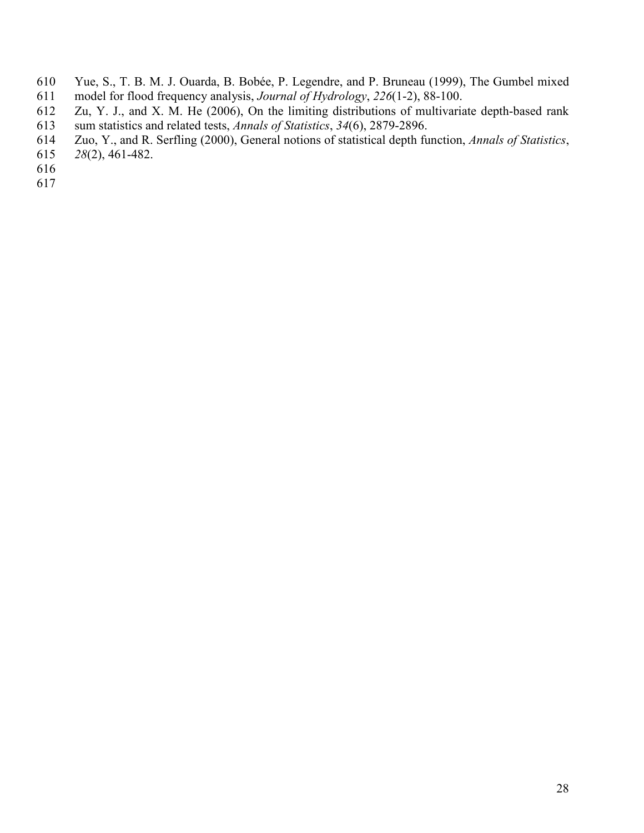- 610 Yue, S., T. B. M. J. Ouarda, B. Bobée, P. Legendre, and P. Bruneau (1999), The Gumbel mixed model for flood frequency analysis, *Journal of Hydrology*, 226(1-2), 88-100.
- 611 model for flood frequency analysis, *Journal of Hydrology*, *226*(1-2), 88-100. Zu, Y. J., and X. M. He (2006), On the limiting distributions of multivariate depth-based rank
- 613 sum statistics and related tests, *Annals of Statistics*, *34*(6), 2879-2896. 614 Zuo, Y., and R. Serfling (2000), General notions of statistical depth function, *Annals of Statistics*,
- 615 *28*(2), 461-482.
- 616
- 617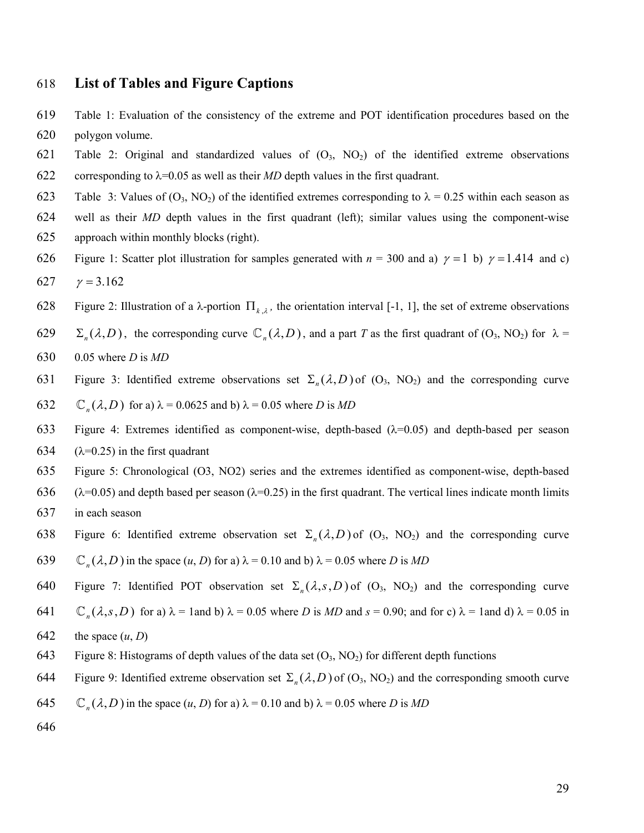# 618 **List of Tables and Figure Captions**

- 619 Table 1: Evaluation of the consistency of the extreme and POT identification procedures based on the 620 polygon volume.
- 621 Table 2: Original and standardized values of  $(O_3, NO_2)$  of the identified extreme observations 622 corresponding to  $\lambda$ =0.05 as well as their *MD* depth values in the first quadrant.
- 623 Table 3: Values of  $(O_3, NO_2)$  of the identified extremes corresponding to  $\lambda = 0.25$  within each season as
- 624 well as their *MD* depth values in the first quadrant (left); similar values using the component-wise 625 approach within monthly blocks (right).
- 626 Figure 1: Scatter plot illustration for samples generated with  $n = 300$  and a)  $\gamma = 1$  b)  $\gamma = 1.414$  and c) 627  $y = 3.162$
- 628 Figure 2: Illustration of a λ-portion  $\Pi_{k,\lambda}$ , the orientation interval [-1, 1], the set of extreme observations
- $\Sigma_n(\lambda, D)$ , the corresponding curve  $\mathbb{C}_n(\lambda, D)$ , and a part *T* as the first quadrant of  $(O_3, NO_2)$  for  $\lambda =$ 630 0.05 where *D* is *MD*
- Figure 3: Identified extreme observations set  $\Sigma_n(\lambda, D)$  of  $(O_3, NO_2)$  and the corresponding curve
- $(632 \quad \mathbb{C}_n(\lambda, D) \text{ for a) } \lambda = 0.0625 \text{ and b) } \lambda = 0.05 \text{ where } D \text{ is } MD$
- 633 Figure 4: Extremes identified as component-wise, depth-based  $(\lambda=0.05)$  and depth-based per season 634 ( $\lambda$ =0.25) in the first quadrant
- 635 Figure 5: Chronological (O3, NO2) series and the extremes identified as component-wise, depth-based 636 ( $\lambda$ =0.05) and depth based per season ( $\lambda$ =0.25) in the first quadrant. The vertical lines indicate month limits 637 in each season
- Figure 6: Identified extreme observation set  $\Sigma_n(\lambda, D)$  of  $(O_3, NO_2)$  and the corresponding curve
- 639  $\mathbb{C}_n(\lambda, D)$  in the space  $(u, D)$  for a)  $\lambda = 0.10$  and b)  $\lambda = 0.05$  where *D* is *MD*
- 640 Figure 7: Identified POT observation set  $\Sigma_n(\lambda, s, D)$  of  $(O_3, NO_2)$  and the corresponding curve
- 641  $\mathbb{C}_n(\lambda, s, D)$  for a)  $\lambda = 1$  and b)  $\lambda = 0.05$  where *D* is *MD* and  $s = 0.90$ ; and for c)  $\lambda = 1$  and d)  $\lambda = 0.05$  in
- 642 the space  $(u, D)$
- 643 Figure 8: Histograms of depth values of the data set  $(O_3, NO_2)$  for different depth functions
- Figure 9: Identified extreme observation set  $\Sigma_n(\lambda, D)$  of  $(O_3, NO_2)$  and the corresponding smooth curve
- 645  $\mathbb{C}_n(\lambda, D)$  in the space  $(u, D)$  for a)  $\lambda = 0.10$  and b)  $\lambda = 0.05$  where *D* is *MD*
- 646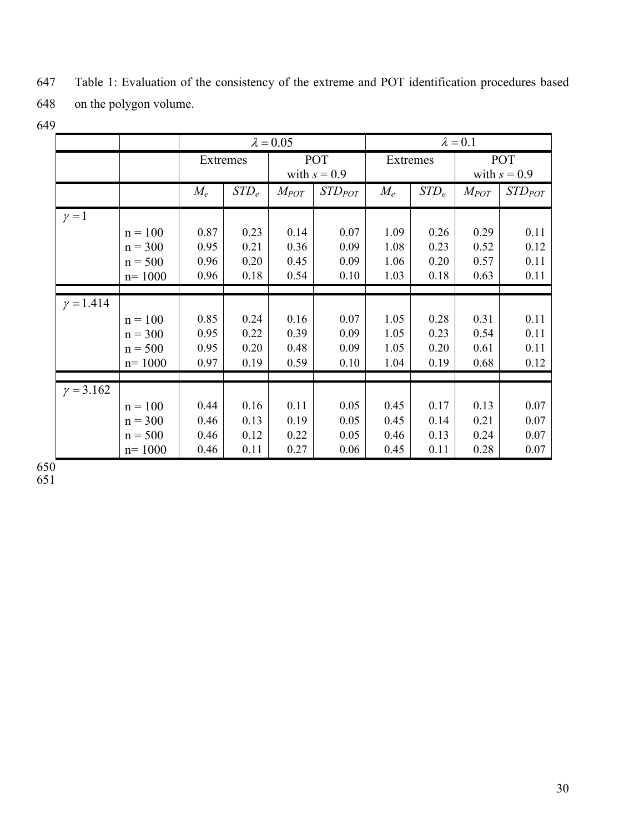|                  |            | $\lambda = 0.05$ |         |                       | $\lambda = 0.1$ |          |         |                       |             |
|------------------|------------|------------------|---------|-----------------------|-----------------|----------|---------|-----------------------|-------------|
|                  |            | Extremes         |         | POT<br>with $s = 0.9$ |                 | Extremes |         | POT<br>with $s = 0.9$ |             |
|                  |            | $M_e$            | $STD_e$ | $M_{POT}$             | $STD_{POT}$     | $M_e$    | $STD_e$ | $M_{POT}$             | $STD_{POT}$ |
| $\gamma = 1$     |            |                  |         |                       |                 |          |         |                       |             |
|                  | $n = 100$  | 0.87             | 0.23    | 0.14                  | 0.07            | 1.09     | 0.26    | 0.29                  | 0.11        |
|                  | $n = 300$  | 0.95             | 0.21    | 0.36                  | 0.09            | 1.08     | 0.23    | 0.52                  | 0.12        |
|                  | $n = 500$  | 0.96             | 0.20    | 0.45                  | 0.09            | 1.06     | 0.20    | 0.57                  | 0.11        |
|                  | $n = 1000$ | 0.96             | 0.18    | 0.54                  | 0.10            | 1.03     | 0.18    | 0.63                  | 0.11        |
|                  |            |                  |         |                       |                 |          |         |                       |             |
| $\gamma = 1.414$ |            |                  |         |                       |                 |          |         |                       |             |
|                  | $n = 100$  | 0.85             | 0.24    | 0.16                  | 0.07            | 1.05     | 0.28    | 0.31                  | 0.11        |
|                  | $n = 300$  | 0.95             | 0.22    | 0.39                  | 0.09            | 1.05     | 0.23    | 0.54                  | 0.11        |
|                  | $n = 500$  | 0.95             | 0.20    | 0.48                  | 0.09            | 1.05     | 0.20    | 0.61                  | 0.11        |
|                  | $n = 1000$ | 0.97             | 0.19    | 0.59                  | 0.10            | 1.04     | 0.19    | 0.68                  | 0.12        |
|                  |            |                  |         |                       |                 |          |         |                       |             |
| $\gamma = 3.162$ |            |                  |         |                       |                 |          |         |                       |             |
|                  | $n = 100$  | 0.44             | 0.16    | 0.11                  | 0.05            | 0.45     | 0.17    | 0.13                  | 0.07        |
|                  | $n = 300$  | 0.46             | 0.13    | 0.19                  | 0.05            | 0.45     | 0.14    | 0.21                  | 0.07        |
|                  | $n = 500$  | 0.46             | 0.12    | 0.22                  | 0.05            | 0.46     | 0.13    | 0.24                  | 0.07        |
|                  | $n = 1000$ | 0.46             | 0.11    | 0.27                  | 0.06            | 0.45     | 0.11    | 0.28                  | 0.07        |

647 Table 1: Evaluation of the consistency of the extreme and POT identification procedures based 648 on the polygon volume.

649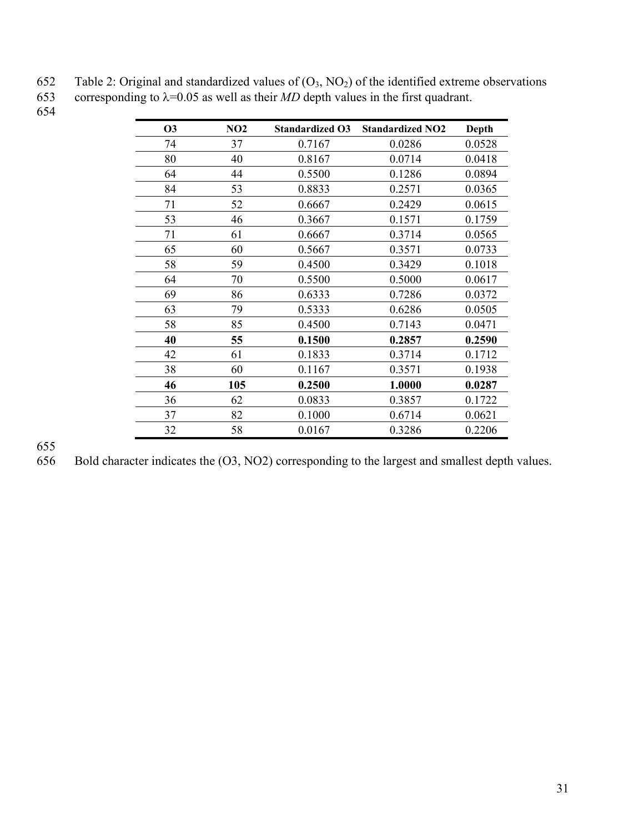| 652 | Table 2: Original and standardized values of $(O_3, NO_2)$ of the identified extreme observations |
|-----|---------------------------------------------------------------------------------------------------|
| 653 | corresponding to $\lambda$ =0.05 as well as their <i>MD</i> depth values in the first quadrant.   |

654

| <b>O3</b> | NO2 | <b>Standardized O3</b> | <b>Standardized NO2</b> | Depth  |
|-----------|-----|------------------------|-------------------------|--------|
| 74        | 37  | 0.7167                 | 0.0286                  | 0.0528 |
| 80        | 40  | 0.8167                 | 0.0714                  | 0.0418 |
| 64        | 44  | 0.5500                 | 0.1286                  | 0.0894 |
| 84        | 53  | 0.8833                 | 0.2571                  | 0.0365 |
| 71        | 52  | 0.6667                 | 0.2429                  | 0.0615 |
| 53        | 46  | 0.3667                 | 0.1571                  | 0.1759 |
| 71        | 61  | 0.6667                 | 0.3714                  | 0.0565 |
| 65        | 60  | 0.5667                 | 0.3571                  | 0.0733 |
| 58        | 59  | 0.4500                 | 0.3429                  | 0.1018 |
| 64        | 70  | 0.5500                 | 0.5000                  | 0.0617 |
| 69        | 86  | 0.6333                 | 0.7286                  | 0.0372 |
| 63        | 79  | 0.5333                 | 0.6286                  | 0.0505 |
| 58        | 85  | 0.4500                 | 0.7143                  | 0.0471 |
| 40        | 55  | 0.1500                 | 0.2857                  | 0.2590 |
| 42        | 61  | 0.1833                 | 0.3714                  | 0.1712 |
| 38        | 60  | 0.1167                 | 0.3571                  | 0.1938 |
| 46        | 105 | 0.2500                 | 1.0000                  | 0.0287 |
| 36        | 62  | 0.0833                 | 0.3857                  | 0.1722 |
| 37        | 82  | 0.1000                 | 0.6714                  | 0.0621 |
| 32        | 58  | 0.0167                 | 0.3286                  | 0.2206 |

655 656 Bold character indicates the (O3, NO2) corresponding to the largest and smallest depth values.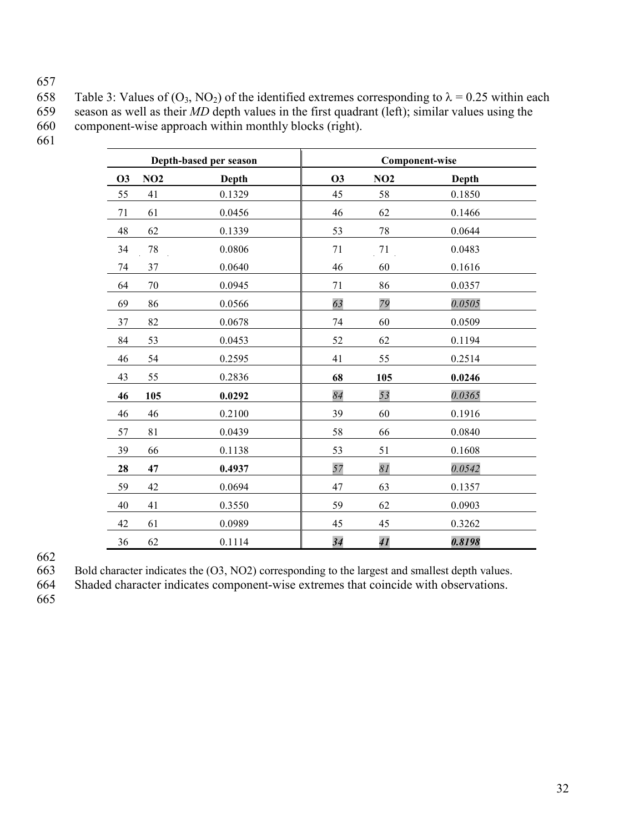657

658 Table 3: Values of  $(O_3, NO_2)$  of the identified extremes corresponding to  $\lambda = 0.25$  within each season as well as their *MD* depth values in the first quadrant (left); similar values using the 659 season as well as their *MD* depth values in the first quadrant (left); similar values using the component-wise approach within monthly blocks (right). component-wise approach within monthly blocks (right).

661

|           |     | Depth-based per season | <b>Component-wise</b> |     |        |  |
|-----------|-----|------------------------|-----------------------|-----|--------|--|
| <b>O3</b> | NO2 | Depth                  | <b>O3</b>             | NO2 | Depth  |  |
| 55        | 41  | 0.1329                 | 45                    | 58  | 0.1850 |  |
| 71        | 61  | 0.0456                 | 46                    | 62  | 0.1466 |  |
| 48        | 62  | 0.1339                 | 53                    | 78  | 0.0644 |  |
| 34        | 78  | 0.0806                 | 71                    | 71  | 0.0483 |  |
| 74        | 37  | 0.0640                 | 46                    | 60  | 0.1616 |  |
| 64        | 70  | 0.0945                 | 71                    | 86  | 0.0357 |  |
| 69        | 86  | 0.0566                 | 63                    | 79  | 0.0505 |  |
| 37        | 82  | 0.0678                 | 74                    | 60  | 0.0509 |  |
| 84        | 53  | 0.0453                 | 52                    | 62  | 0.1194 |  |
| 46        | 54  | 0.2595                 | 41                    | 55  | 0.2514 |  |
| 43        | 55  | 0.2836                 | 68                    | 105 | 0.0246 |  |
| 46        | 105 | 0.0292                 | 84                    | 53  | 0.0365 |  |
| 46        | 46  | 0.2100                 | 39                    | 60  | 0.1916 |  |
| 57        | 81  | 0.0439                 | 58                    | 66  | 0.0840 |  |
| 39        | 66  | 0.1138                 | 53                    | 51  | 0.1608 |  |
| 28        | 47  | 0.4937                 | 57                    | 81  | 0.0542 |  |
| 59        | 42  | 0.0694                 | 47                    | 63  | 0.1357 |  |
| 40        | 41  | 0.3550                 | 59                    | 62  | 0.0903 |  |
| 42        | 61  | 0.0989                 | 45                    | 45  | 0.3262 |  |
| 36        | 62  | 0.1114                 | 34                    | 41  | 0.8198 |  |

662<br>663

663 Bold character indicates the (O3, NO2) corresponding to the largest and smallest depth values.<br>664 Shaded character indicates component-wise extremes that coincide with observations.

Shaded character indicates component-wise extremes that coincide with observations.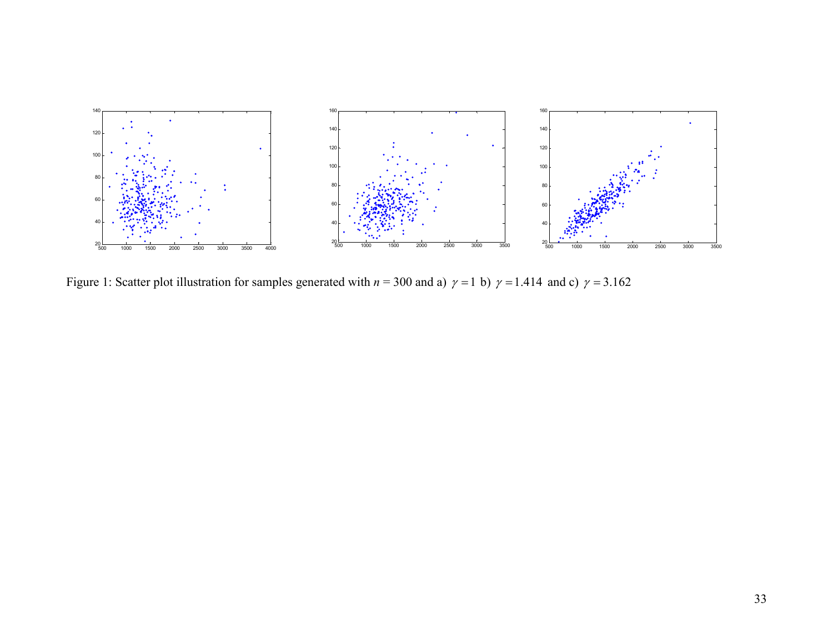

Figure 1: Scatter plot illustration for samples generated with  $n = 300$  and a)  $\gamma = 1$  b)  $\gamma = 1.414$  and c)  $\gamma = 3.162$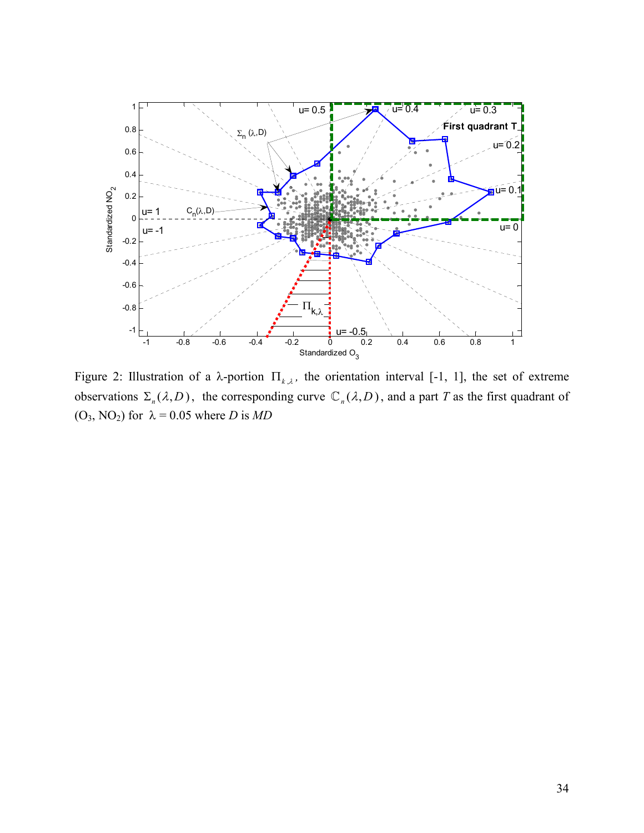

Figure 2: Illustration of a  $\lambda$ -portion  $\Pi_{k,\lambda}$ , the orientation interval [-1, 1], the set of extreme observations  $\Sigma_n(\lambda, D)$ , the corresponding curve  $\mathbb{C}_n(\lambda, D)$ , and a part *T* as the first quadrant of  $(O_3, NO_2)$  for  $\lambda = 0.05$  where *D* is *MD*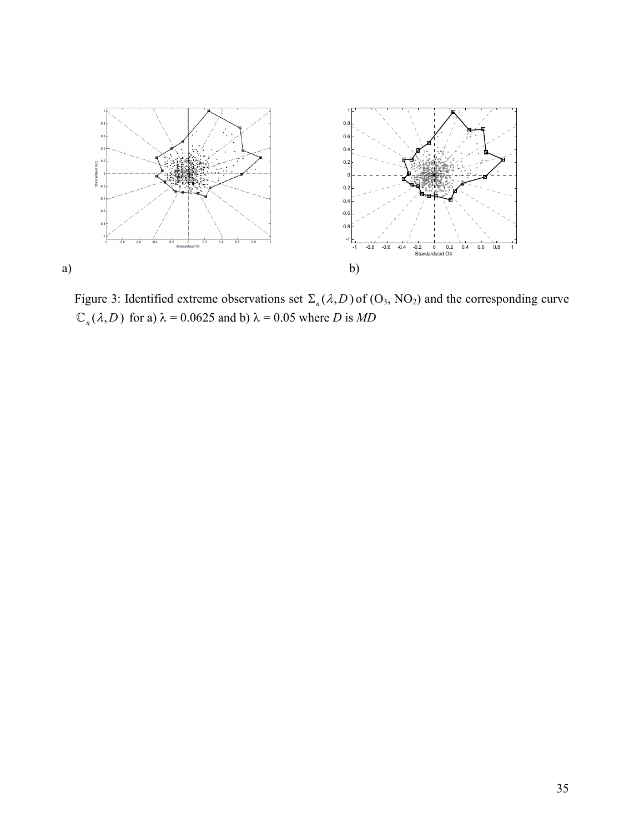

Figure 3: Identified extreme observations set  $\Sigma_n(\lambda, D)$  of (O<sub>3</sub>, NO<sub>2</sub>) and the corresponding curve  $\mathbb{C}_n(\lambda, D)$  for a)  $\lambda = 0.0625$  and b)  $\lambda = 0.05$  where *D* is *MD*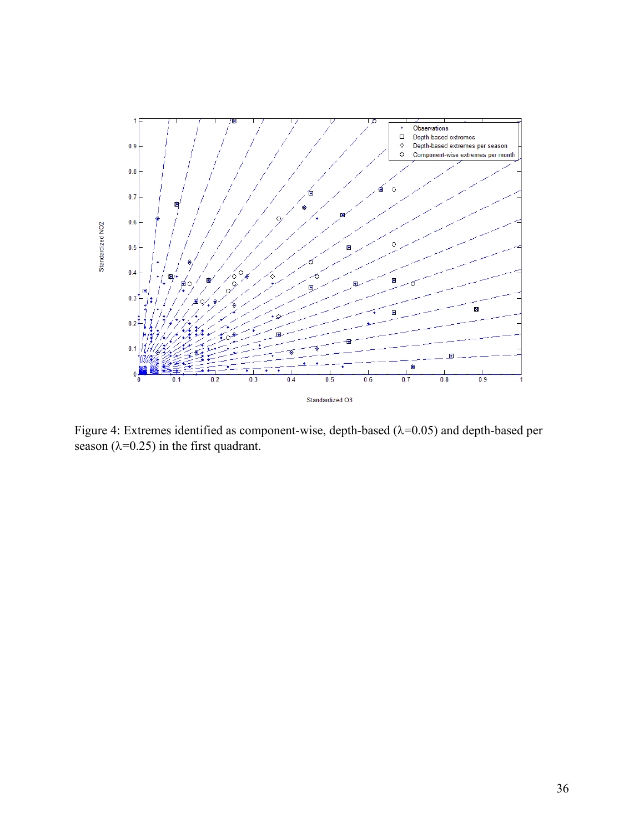

Figure 4: Extremes identified as component-wise, depth-based (λ=0.05) and depth-based per season ( $\lambda$ =0.25) in the first quadrant.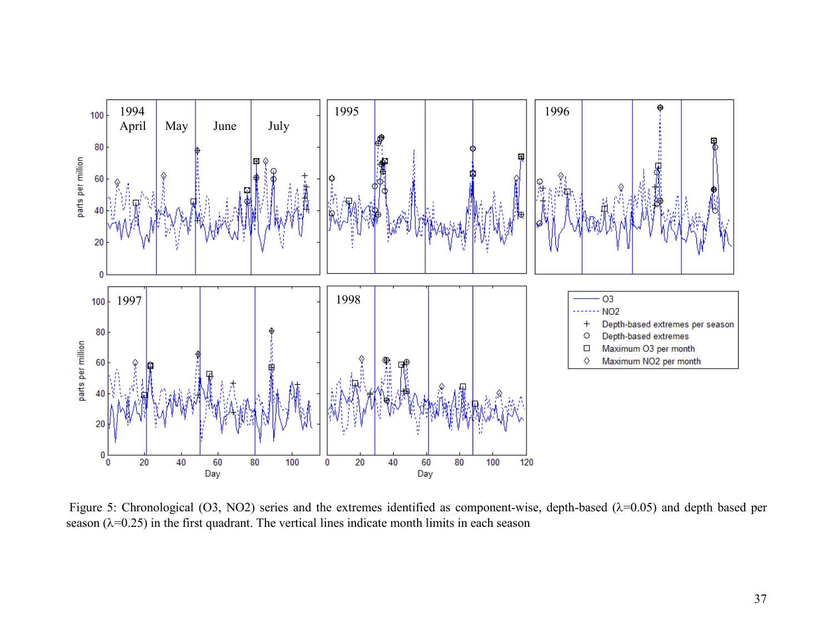

Figure 5: Chronological (O3, NO2) series and the extremes identified as component-wise, depth-based ( $\lambda$ =0.05) and depth based per season  $(\lambda=0.25)$  in the first quadrant. The vertical lines indicate month limits in each season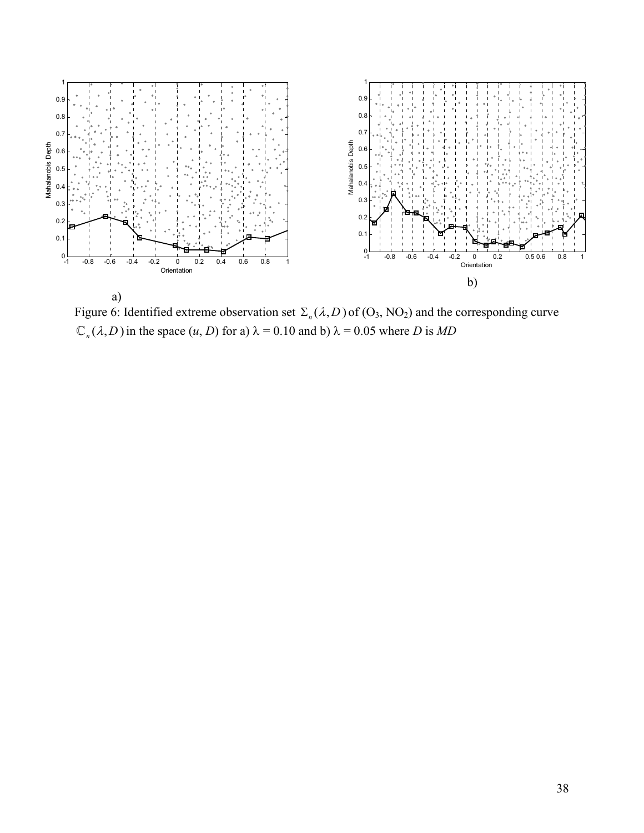

Figure 6: Identified extreme observation set  $\Sigma_n(\lambda, D)$  of (O<sub>3</sub>, NO<sub>2</sub>) and the corresponding curve  $\mathbb{C}_n(\lambda, D)$  in the space  $(u, D)$  for a)  $\lambda = 0.10$  and b)  $\lambda = 0.05$  where *D* is *MD*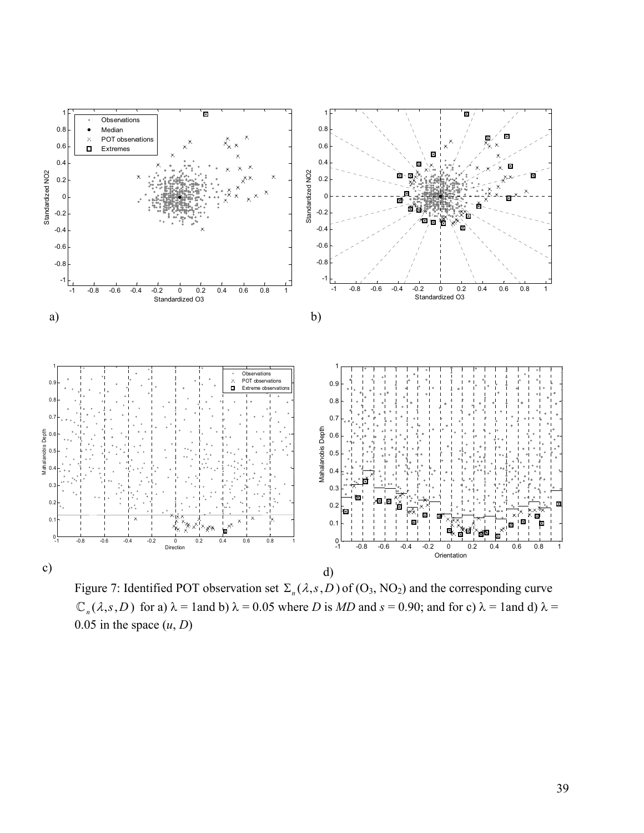

Figure 7: Identified POT observation set  $\Sigma_n(\lambda, s, D)$  of (O<sub>3</sub>, NO<sub>2</sub>) and the corresponding curve  $\mathbb{C}_n(\lambda, s, D)$  for a)  $\lambda = 1$  and b)  $\lambda = 0.05$  where *D* is *MD* and  $s = 0.90$ ; and for c)  $\lambda = 1$  and d)  $\lambda = 0.05$ 0.05 in the space  $(u, D)$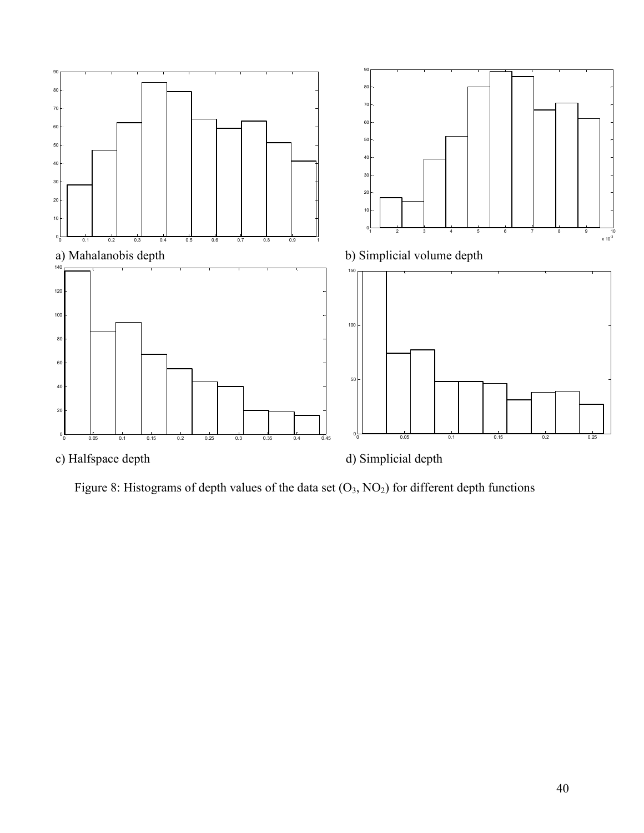

Figure 8: Histograms of depth values of the data set  $(O_3, NO_2)$  for different depth functions